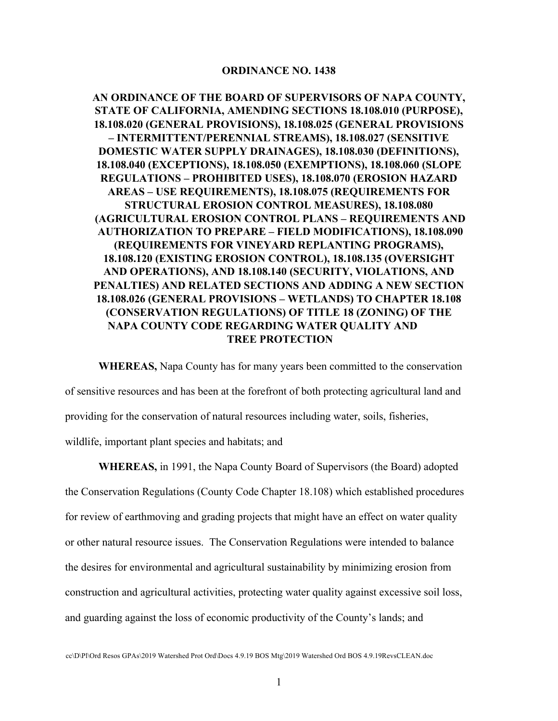#### **ORDINANCE NO. 1438**

**AN ORDINANCE OF THE BOARD OF SUPERVISORS OF NAPA COUNTY, STATE OF CALIFORNIA, AMENDING SECTIONS 18.108.010 (PURPOSE), 18.108.020 (GENERAL PROVISIONS), 18.108.025 (GENERAL PROVISIONS – INTERMITTENT/PERENNIAL STREAMS), 18.108.027 (SENSITIVE DOMESTIC WATER SUPPLY DRAINAGES), 18.108.030 (DEFINITIONS), 18.108.040 (EXCEPTIONS), 18.108.050 (EXEMPTIONS), 18.108.060 (SLOPE REGULATIONS – PROHIBITED USES), 18.108.070 (EROSION HAZARD AREAS – USE REQUIREMENTS), 18.108.075 (REQUIREMENTS FOR STRUCTURAL EROSION CONTROL MEASURES), 18.108.080 (AGRICULTURAL EROSION CONTROL PLANS – REQUIREMENTS AND AUTHORIZATION TO PREPARE – FIELD MODIFICATIONS), 18.108.090 (REQUIREMENTS FOR VINEYARD REPLANTING PROGRAMS), 18.108.120 (EXISTING EROSION CONTROL), 18.108.135 (OVERSIGHT AND OPERATIONS), AND 18.108.140 (SECURITY, VIOLATIONS, AND PENALTIES) AND RELATED SECTIONS AND ADDING A NEW SECTION 18.108.026 (GENERAL PROVISIONS – WETLANDS) TO CHAPTER 18.108 (CONSERVATION REGULATIONS) OF TITLE 18 (ZONING) OF THE NAPA COUNTY CODE REGARDING WATER QUALITY AND TREE PROTECTION**

**WHEREAS,** Napa County has for many years been committed to the conservation of sensitive resources and has been at the forefront of both protecting agricultural land and providing for the conservation of natural resources including water, soils, fisheries, wildlife, important plant species and habitats; and

**WHEREAS,** in 1991, the Napa County Board of Supervisors (the Board) adopted the Conservation Regulations (County Code Chapter 18.108) which established procedures for review of earthmoving and grading projects that might have an effect on water quality or other natural resource issues. The Conservation Regulations were intended to balance the desires for environmental and agricultural sustainability by minimizing erosion from construction and agricultural activities, protecting water quality against excessive soil loss, and guarding against the loss of economic productivity of the County's lands; and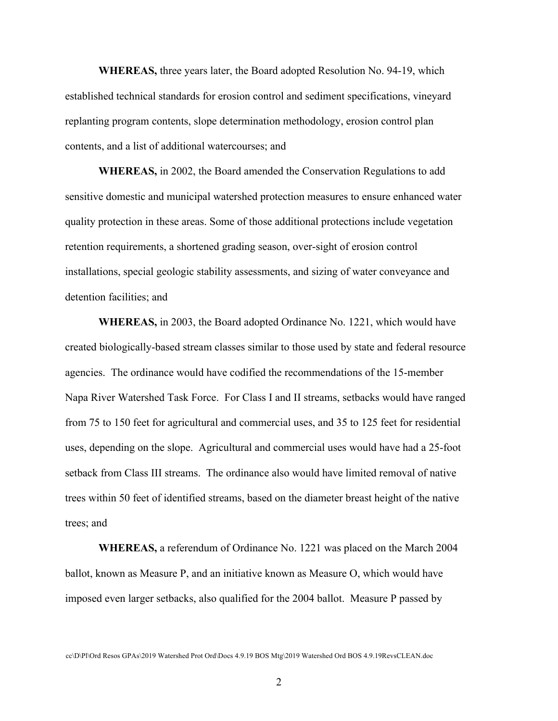**WHEREAS,** three years later, the Board adopted Resolution No. 94-19, which established technical standards for erosion control and sediment specifications, vineyard replanting program contents, slope determination methodology, erosion control plan contents, and a list of additional watercourses; and

**WHEREAS,** in 2002, the Board amended the Conservation Regulations to add sensitive domestic and municipal watershed protection measures to ensure enhanced water quality protection in these areas. Some of those additional protections include vegetation retention requirements, a shortened grading season, over-sight of erosion control installations, special geologic stability assessments, and sizing of water conveyance and detention facilities; and

**WHEREAS,** in 2003, the Board adopted Ordinance No. 1221, which would have created biologically-based stream classes similar to those used by state and federal resource agencies. The ordinance would have codified the recommendations of the 15-member Napa River Watershed Task Force. For Class I and II streams, setbacks would have ranged from 75 to 150 feet for agricultural and commercial uses, and 35 to 125 feet for residential uses, depending on the slope. Agricultural and commercial uses would have had a 25-foot setback from Class III streams. The ordinance also would have limited removal of native trees within 50 feet of identified streams, based on the diameter breast height of the native trees; and

**WHEREAS,** a referendum of Ordinance No. 1221 was placed on the March 2004 ballot, known as Measure P, and an initiative known as Measure O, which would have imposed even larger setbacks, also qualified for the 2004 ballot. Measure P passed by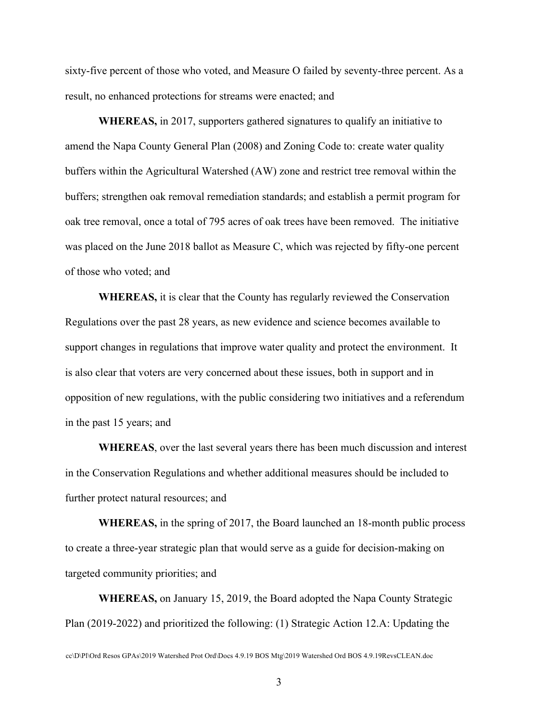sixty-five percent of those who voted, and Measure O failed by seventy-three percent. As a result, no enhanced protections for streams were enacted; and

**WHEREAS,** in 2017, supporters gathered signatures to qualify an initiative to amend the Napa County General Plan (2008) and Zoning Code to: create water quality buffers within the Agricultural Watershed (AW) zone and restrict tree removal within the buffers; strengthen oak removal remediation standards; and establish a permit program for oak tree removal, once a total of 795 acres of oak trees have been removed. The initiative was placed on the June 2018 ballot as Measure C, which was rejected by fifty-one percent of those who voted; and

**WHEREAS,** it is clear that the County has regularly reviewed the Conservation Regulations over the past 28 years, as new evidence and science becomes available to support changes in regulations that improve water quality and protect the environment. It is also clear that voters are very concerned about these issues, both in support and in opposition of new regulations, with the public considering two initiatives and a referendum in the past 15 years; and

**WHEREAS**, over the last several years there has been much discussion and interest in the Conservation Regulations and whether additional measures should be included to further protect natural resources; and

**WHEREAS,** in the spring of 2017, the Board launched an 18-month public process to create a three-year strategic plan that would serve as a guide for decision-making on targeted community priorities; and

**WHEREAS,** on January 15, 2019, the Board adopted the Napa County Strategic Plan (2019-2022) and prioritized the following: (1) Strategic Action 12.A: Updating the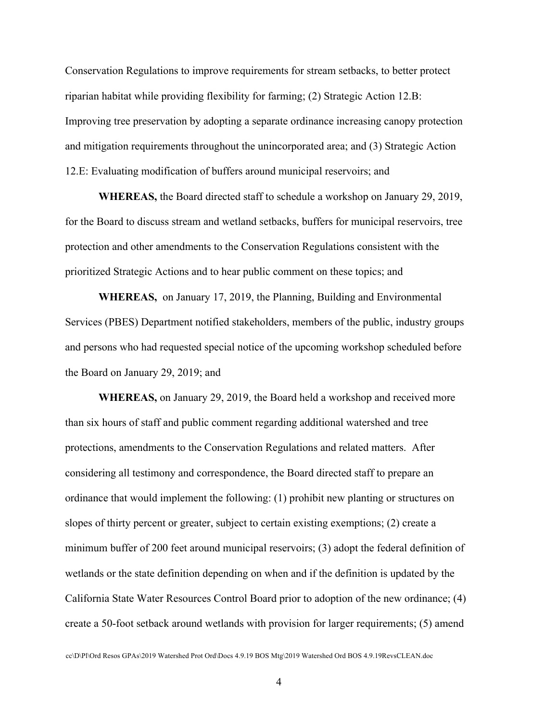Conservation Regulations to improve requirements for stream setbacks, to better protect riparian habitat while providing flexibility for farming; (2) Strategic Action 12.B: Improving tree preservation by adopting a separate ordinance increasing canopy protection and mitigation requirements throughout the unincorporated area; and (3) Strategic Action 12.E: Evaluating modification of buffers around municipal reservoirs; and

**WHEREAS,** the Board directed staff to schedule a workshop on January 29, 2019, for the Board to discuss stream and wetland setbacks, buffers for municipal reservoirs, tree protection and other amendments to the Conservation Regulations consistent with the prioritized Strategic Actions and to hear public comment on these topics; and

**WHEREAS,** on January 17, 2019, the Planning, Building and Environmental Services (PBES) Department notified stakeholders, members of the public, industry groups and persons who had requested special notice of the upcoming workshop scheduled before the Board on January 29, 2019; and

**WHEREAS,** on January 29, 2019, the Board held a workshop and received more than six hours of staff and public comment regarding additional watershed and tree protections, amendments to the Conservation Regulations and related matters. After considering all testimony and correspondence, the Board directed staff to prepare an ordinance that would implement the following: (1) prohibit new planting or structures on slopes of thirty percent or greater, subject to certain existing exemptions; (2) create a minimum buffer of 200 feet around municipal reservoirs; (3) adopt the federal definition of wetlands or the state definition depending on when and if the definition is updated by the California State Water Resources Control Board prior to adoption of the new ordinance; (4) create a 50-foot setback around wetlands with provision for larger requirements; (5) amend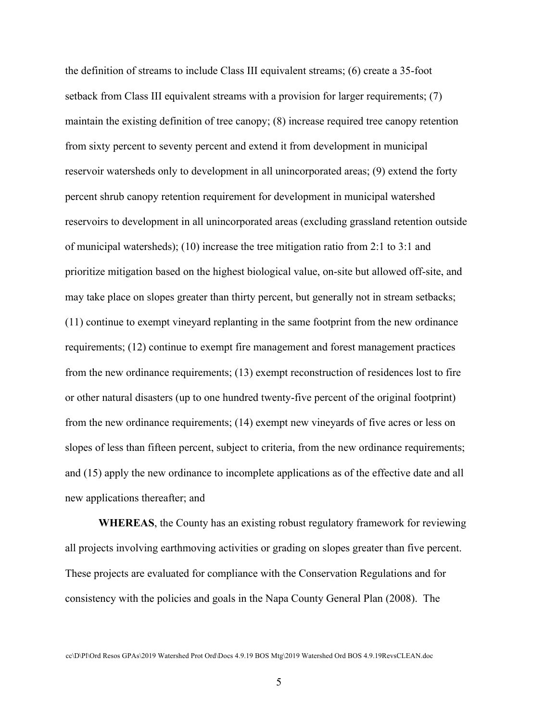the definition of streams to include Class III equivalent streams; (6) create a 35-foot setback from Class III equivalent streams with a provision for larger requirements; (7) maintain the existing definition of tree canopy; (8) increase required tree canopy retention from sixty percent to seventy percent and extend it from development in municipal reservoir watersheds only to development in all unincorporated areas; (9) extend the forty percent shrub canopy retention requirement for development in municipal watershed reservoirs to development in all unincorporated areas (excluding grassland retention outside of municipal watersheds); (10) increase the tree mitigation ratio from 2:1 to 3:1 and prioritize mitigation based on the highest biological value, on-site but allowed off-site, and may take place on slopes greater than thirty percent, but generally not in stream setbacks; (11) continue to exempt vineyard replanting in the same footprint from the new ordinance requirements; (12) continue to exempt fire management and forest management practices from the new ordinance requirements; (13) exempt reconstruction of residences lost to fire or other natural disasters (up to one hundred twenty-five percent of the original footprint) from the new ordinance requirements; (14) exempt new vineyards of five acres or less on slopes of less than fifteen percent, subject to criteria, from the new ordinance requirements; and (15) apply the new ordinance to incomplete applications as of the effective date and all new applications thereafter; and

**WHEREAS**, the County has an existing robust regulatory framework for reviewing all projects involving earthmoving activities or grading on slopes greater than five percent. These projects are evaluated for compliance with the Conservation Regulations and for consistency with the policies and goals in the Napa County General Plan (2008). The

cc\D\Pl\Ord Resos GPAs\2019 Watershed Prot Ord\Docs 4.9.19 BOS Mtg\2019 Watershed Ord BOS 4.9.19RevsCLEAN.doc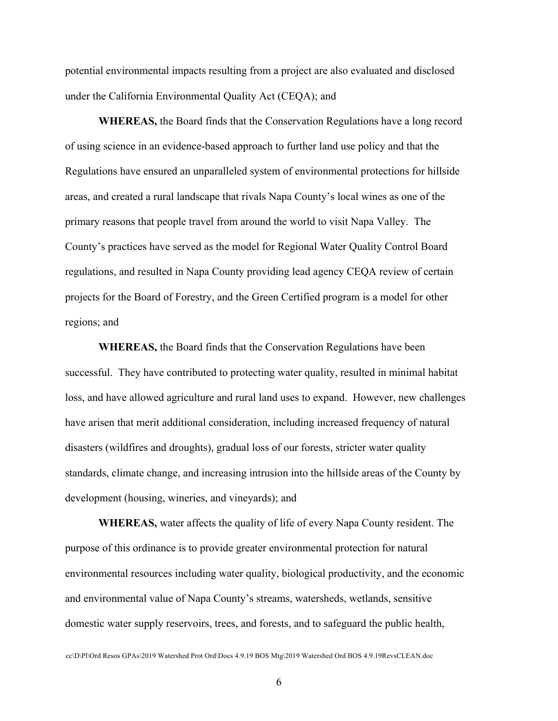potential environmental impacts resulting from a project are also evaluated and disclosed under the California Environmental Quality Act (CEQA); and

**WHEREAS,** the Board finds that the Conservation Regulations have a long record of using science in an evidence-based approach to further land use policy and that the Regulations have ensured an unparalleled system of environmental protections for hillside areas, and created a rural landscape that rivals Napa County's local wines as one of the primary reasons that people travel from around the world to visit Napa Valley. The County's practices have served as the model for Regional Water Quality Control Board regulations, and resulted in Napa County providing lead agency CEQA review of certain projects for the Board of Forestry, and the Green Certified program is a model for other regions; and

**WHEREAS,** the Board finds that the Conservation Regulations have been successful. They have contributed to protecting water quality, resulted in minimal habitat loss, and have allowed agriculture and rural land uses to expand. However, new challenges have arisen that merit additional consideration, including increased frequency of natural disasters (wildfires and droughts), gradual loss of our forests, stricter water quality standards, climate change, and increasing intrusion into the hillside areas of the County by development (housing, wineries, and vineyards); and

**WHEREAS,** water affects the quality of life of every Napa County resident. The purpose of this ordinance is to provide greater environmental protection for natural environmental resources including water quality, biological productivity, and the economic and environmental value of Napa County's streams, watersheds, wetlands, sensitive domestic water supply reservoirs, trees, and forests, and to safeguard the public health,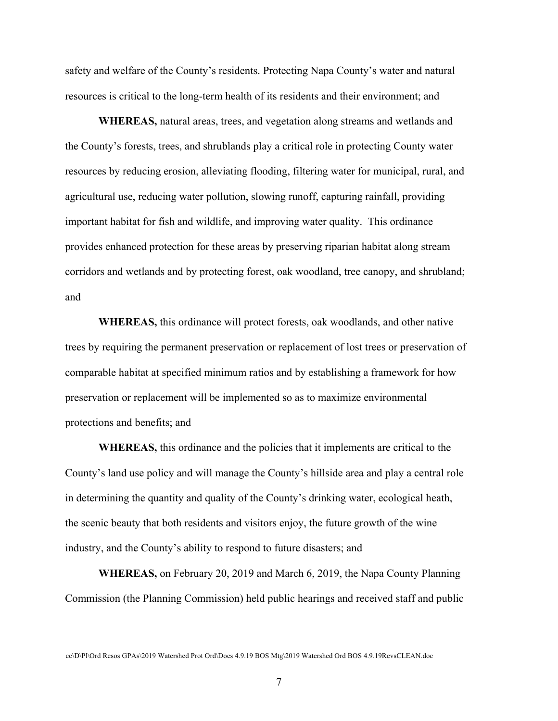safety and welfare of the County's residents. Protecting Napa County's water and natural resources is critical to the long-term health of its residents and their environment; and

**WHEREAS,** natural areas, trees, and vegetation along streams and wetlands and the County's forests, trees, and shrublands play a critical role in protecting County water resources by reducing erosion, alleviating flooding, filtering water for municipal, rural, and agricultural use, reducing water pollution, slowing runoff, capturing rainfall, providing important habitat for fish and wildlife, and improving water quality. This ordinance provides enhanced protection for these areas by preserving riparian habitat along stream corridors and wetlands and by protecting forest, oak woodland, tree canopy, and shrubland; and

**WHEREAS,** this ordinance will protect forests, oak woodlands, and other native trees by requiring the permanent preservation or replacement of lost trees or preservation of comparable habitat at specified minimum ratios and by establishing a framework for how preservation or replacement will be implemented so as to maximize environmental protections and benefits; and

**WHEREAS,** this ordinance and the policies that it implements are critical to the County's land use policy and will manage the County's hillside area and play a central role in determining the quantity and quality of the County's drinking water, ecological heath, the scenic beauty that both residents and visitors enjoy, the future growth of the wine industry, and the County's ability to respond to future disasters; and

**WHEREAS,** on February 20, 2019 and March 6, 2019, the Napa County Planning Commission (the Planning Commission) held public hearings and received staff and public

cc\D\Pl\Ord Resos GPAs\2019 Watershed Prot Ord\Docs 4.9.19 BOS Mtg\2019 Watershed Ord BOS 4.9.19RevsCLEAN.doc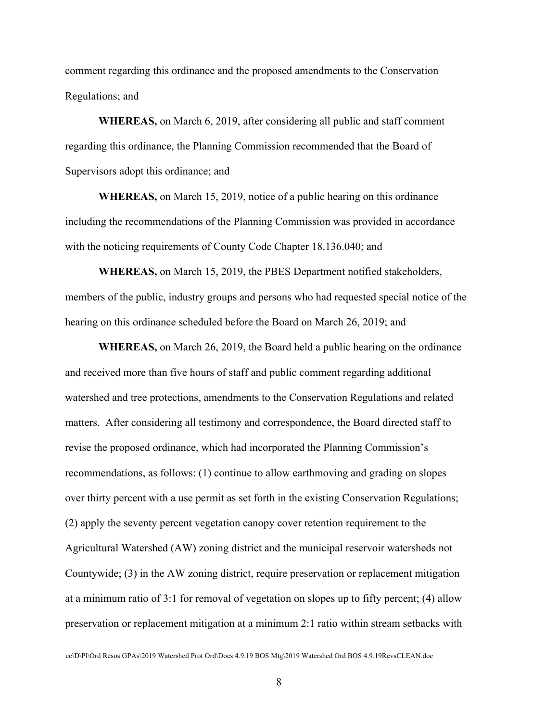comment regarding this ordinance and the proposed amendments to the Conservation Regulations; and

**WHEREAS,** on March 6, 2019, after considering all public and staff comment regarding this ordinance, the Planning Commission recommended that the Board of Supervisors adopt this ordinance; and

**WHEREAS,** on March 15, 2019, notice of a public hearing on this ordinance including the recommendations of the Planning Commission was provided in accordance with the noticing requirements of County Code Chapter 18.136.040; and

**WHEREAS,** on March 15, 2019, the PBES Department notified stakeholders, members of the public, industry groups and persons who had requested special notice of the hearing on this ordinance scheduled before the Board on March 26, 2019; and

**WHEREAS,** on March 26, 2019, the Board held a public hearing on the ordinance and received more than five hours of staff and public comment regarding additional watershed and tree protections, amendments to the Conservation Regulations and related matters. After considering all testimony and correspondence, the Board directed staff to revise the proposed ordinance, which had incorporated the Planning Commission's recommendations, as follows: (1) continue to allow earthmoving and grading on slopes over thirty percent with a use permit as set forth in the existing Conservation Regulations; (2) apply the seventy percent vegetation canopy cover retention requirement to the Agricultural Watershed (AW) zoning district and the municipal reservoir watersheds not Countywide; (3) in the AW zoning district, require preservation or replacement mitigation at a minimum ratio of 3:1 for removal of vegetation on slopes up to fifty percent; (4) allow preservation or replacement mitigation at a minimum 2:1 ratio within stream setbacks with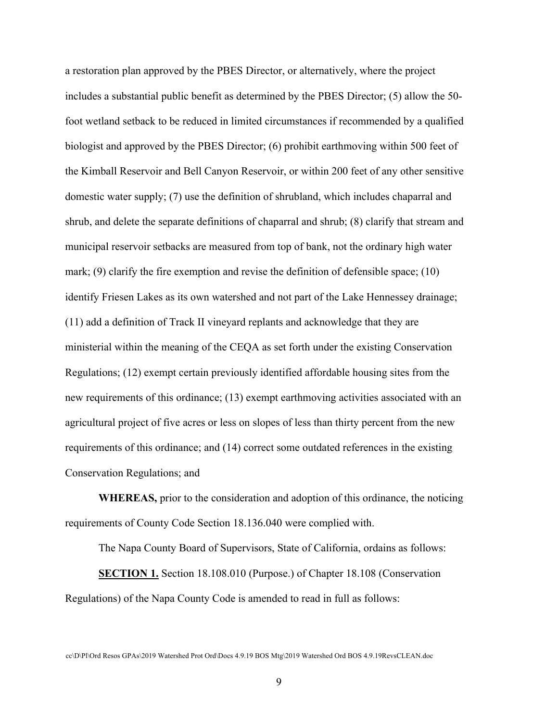a restoration plan approved by the PBES Director, or alternatively, where the project includes a substantial public benefit as determined by the PBES Director; (5) allow the 50 foot wetland setback to be reduced in limited circumstances if recommended by a qualified biologist and approved by the PBES Director; (6) prohibit earthmoving within 500 feet of the Kimball Reservoir and Bell Canyon Reservoir, or within 200 feet of any other sensitive domestic water supply; (7) use the definition of shrubland, which includes chaparral and shrub, and delete the separate definitions of chaparral and shrub; (8) clarify that stream and municipal reservoir setbacks are measured from top of bank, not the ordinary high water mark; (9) clarify the fire exemption and revise the definition of defensible space; (10) identify Friesen Lakes as its own watershed and not part of the Lake Hennessey drainage; (11) add a definition of Track II vineyard replants and acknowledge that they are ministerial within the meaning of the CEQA as set forth under the existing Conservation Regulations; (12) exempt certain previously identified affordable housing sites from the new requirements of this ordinance; (13) exempt earthmoving activities associated with an agricultural project of five acres or less on slopes of less than thirty percent from the new requirements of this ordinance; and (14) correct some outdated references in the existing Conservation Regulations; and

**WHEREAS,** prior to the consideration and adoption of this ordinance, the noticing requirements of County Code Section 18.136.040 were complied with.

The Napa County Board of Supervisors, State of California, ordains as follows:

**SECTION 1.** Section 18.108.010 (Purpose.) of Chapter 18.108 (Conservation Regulations) of the Napa County Code is amended to read in full as follows:

cc\D\Pl\Ord Resos GPAs\2019 Watershed Prot Ord\Docs 4.9.19 BOS Mtg\2019 Watershed Ord BOS 4.9.19RevsCLEAN.doc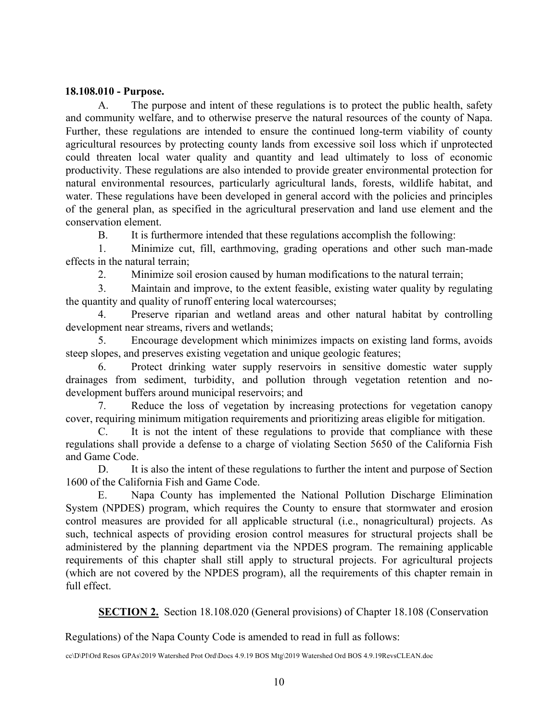#### **18.108.010 - Purpose.**

A. The purpose and intent of these regulations is to protect the public health, safety and community welfare, and to otherwise preserve the natural resources of the county of Napa. Further, these regulations are intended to ensure the continued long-term viability of county agricultural resources by protecting county lands from excessive soil loss which if unprotected could threaten local water quality and quantity and lead ultimately to loss of economic productivity. These regulations are also intended to provide greater environmental protection for natural environmental resources, particularly agricultural lands, forests, wildlife habitat, and water. These regulations have been developed in general accord with the policies and principles of the general plan, as specified in the agricultural preservation and land use element and the conservation element.

B. It is furthermore intended that these regulations accomplish the following:

1. Minimize cut, fill, earthmoving, grading operations and other such man-made effects in the natural terrain;

2. Minimize soil erosion caused by human modifications to the natural terrain;

3. Maintain and improve, to the extent feasible, existing water quality by regulating the quantity and quality of runoff entering local watercourses;

4. Preserve riparian and wetland areas and other natural habitat by controlling development near streams, rivers and wetlands;

5. Encourage development which minimizes impacts on existing land forms, avoids steep slopes, and preserves existing vegetation and unique geologic features;

6. Protect drinking water supply reservoirs in sensitive domestic water supply drainages from sediment, turbidity, and pollution through vegetation retention and nodevelopment buffers around municipal reservoirs; and

7. Reduce the loss of vegetation by increasing protections for vegetation canopy cover, requiring minimum mitigation requirements and prioritizing areas eligible for mitigation.

C. It is not the intent of these regulations to provide that compliance with these regulations shall provide a defense to a charge of violating Section 5650 of the California Fish and Game Code.

D. It is also the intent of these regulations to further the intent and purpose of Section 1600 of the California Fish and Game Code.

E. Napa County has implemented the National Pollution Discharge Elimination System (NPDES) program, which requires the County to ensure that stormwater and erosion control measures are provided for all applicable structural (i.e., nonagricultural) projects. As such, technical aspects of providing erosion control measures for structural projects shall be administered by the planning department via the NPDES program. The remaining applicable requirements of this chapter shall still apply to structural projects. For agricultural projects (which are not covered by the NPDES program), all the requirements of this chapter remain in full effect.

**SECTION 2.** Section 18.108.020 (General provisions) of Chapter 18.108 (Conservation

Regulations) of the Napa County Code is amended to read in full as follows: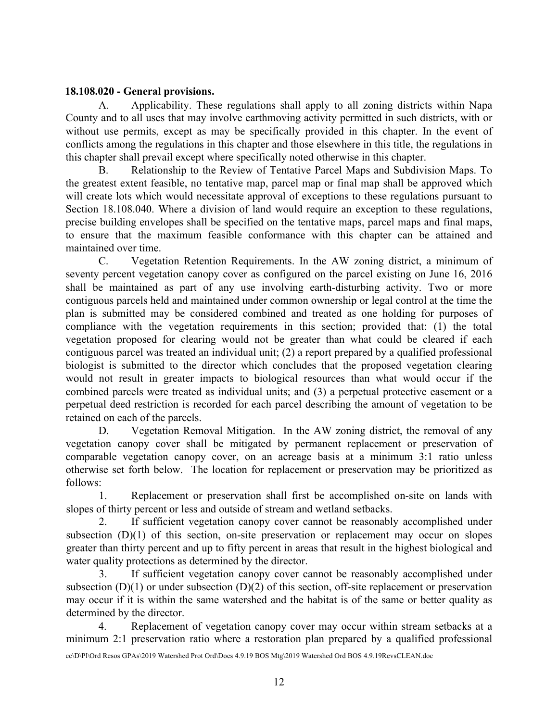### **18.108.020 - General provisions.**

A. Applicability. These regulations shall apply to all zoning districts within Napa County and to all uses that may involve earthmoving activity permitted in such districts, with or without use permits, except as may be specifically provided in this chapter. In the event of conflicts among the regulations in this chapter and those elsewhere in this title, the regulations in this chapter shall prevail except where specifically noted otherwise in this chapter.

B. Relationship to the Review of Tentative Parcel Maps and Subdivision Maps. To the greatest extent feasible, no tentative map, parcel map or final map shall be approved which will create lots which would necessitate approval of exceptions to these regulations pursuant to Section 18.108.040. Where a division of land would require an exception to these regulations, precise building envelopes shall be specified on the tentative maps, parcel maps and final maps, to ensure that the maximum feasible conformance with this chapter can be attained and maintained over time.

C. Vegetation Retention Requirements. In the AW zoning district, a minimum of seventy percent vegetation canopy cover as configured on the parcel existing on June 16, 2016 shall be maintained as part of any use involving earth-disturbing activity. Two or more contiguous parcels held and maintained under common ownership or legal control at the time the plan is submitted may be considered combined and treated as one holding for purposes of compliance with the vegetation requirements in this section; provided that: (1) the total vegetation proposed for clearing would not be greater than what could be cleared if each contiguous parcel was treated an individual unit; (2) a report prepared by a qualified professional biologist is submitted to the director which concludes that the proposed vegetation clearing would not result in greater impacts to biological resources than what would occur if the combined parcels were treated as individual units; and (3) a perpetual protective easement or a perpetual deed restriction is recorded for each parcel describing the amount of vegetation to be retained on each of the parcels.

D. Vegetation Removal Mitigation. In the AW zoning district, the removal of any vegetation canopy cover shall be mitigated by permanent replacement or preservation of comparable vegetation canopy cover, on an acreage basis at a minimum 3:1 ratio unless otherwise set forth below. The location for replacement or preservation may be prioritized as follows:

1. Replacement or preservation shall first be accomplished on-site on lands with slopes of thirty percent or less and outside of stream and wetland setbacks.

2. If sufficient vegetation canopy cover cannot be reasonably accomplished under subsection (D)(1) of this section, on-site preservation or replacement may occur on slopes greater than thirty percent and up to fifty percent in areas that result in the highest biological and water quality protections as determined by the director.

3. If sufficient vegetation canopy cover cannot be reasonably accomplished under subsection  $(D)(1)$  or under subsection  $(D)(2)$  of this section, off-site replacement or preservation may occur if it is within the same watershed and the habitat is of the same or better quality as determined by the director.

4. Replacement of vegetation canopy cover may occur within stream setbacks at a minimum 2:1 preservation ratio where a restoration plan prepared by a qualified professional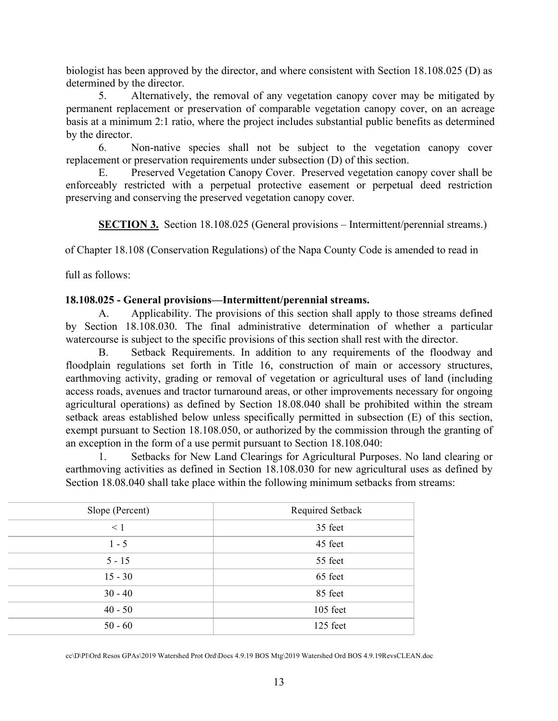biologist has been approved by the director, and where consistent with Section 18.108.025 (D) as determined by the director.

5. Alternatively, the removal of any vegetation canopy cover may be mitigated by permanent replacement or preservation of comparable vegetation canopy cover, on an acreage basis at a minimum 2:1 ratio, where the project includes substantial public benefits as determined by the director.

6. Non-native species shall not be subject to the vegetation canopy cover replacement or preservation requirements under subsection (D) of this section.

E. Preserved Vegetation Canopy Cover. Preserved vegetation canopy cover shall be enforceably restricted with a perpetual protective easement or perpetual deed restriction preserving and conserving the preserved vegetation canopy cover.

**SECTION 3.** Section 18.108.025 (General provisions – Intermittent/perennial streams.)

of Chapter 18.108 (Conservation Regulations) of the Napa County Code is amended to read in

full as follows:

#### **18.108.025 - General provisions—Intermittent/perennial streams.**

A. Applicability. The provisions of this section shall apply to those streams defined by Section 18.108.030. The final administrative determination of whether a particular watercourse is subject to the specific provisions of this section shall rest with the director.

B. Setback Requirements. In addition to any requirements of the floodway and floodplain regulations set forth in Title 16, construction of main or accessory structures, earthmoving activity, grading or removal of vegetation or agricultural uses of land (including access roads, avenues and tractor turnaround areas, or other improvements necessary for ongoing agricultural operations) as defined by Section 18.08.040 shall be prohibited within the stream setback areas established below unless specifically permitted in subsection (E) of this section, exempt pursuant to Section 18.108.050, or authorized by the commission through the granting of an exception in the form of a use permit pursuant to Section 18.108.040:

1. Setbacks for New Land Clearings for Agricultural Purposes. No land clearing or earthmoving activities as defined in Section 18.108.030 for new agricultural uses as defined by Section 18.08.040 shall take place within the following minimum setbacks from streams:

| Slope (Percent) | Required Setback |
|-----------------|------------------|
| $\leq 1$        | 35 feet          |
| $1 - 5$         | 45 feet          |
| $5 - 15$        | 55 feet          |
| $15 - 30$       | 65 feet          |
| $30 - 40$       | 85 feet          |
| $40 - 50$       | 105 feet         |
| $50 - 60$       | 125 feet         |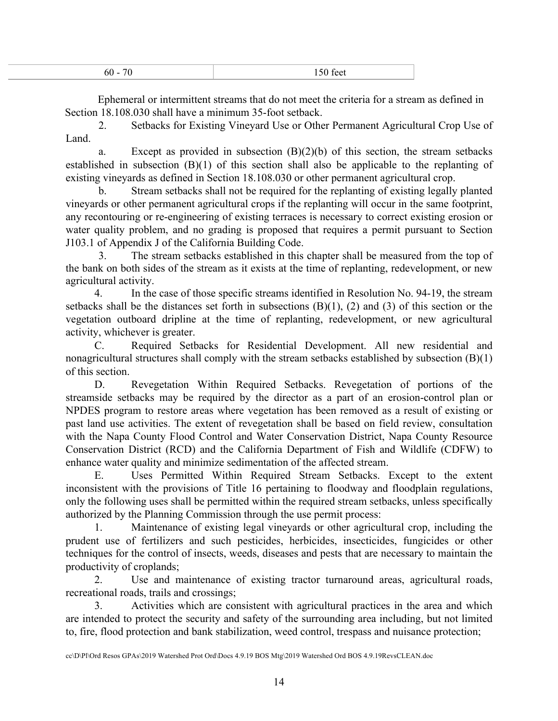| - |  |
|---|--|
|   |  |

Ephemeral or intermittent streams that do not meet the criteria for a stream as defined in Section 18.108.030 shall have a minimum 35-foot setback.

2. Setbacks for Existing Vineyard Use or Other Permanent Agricultural Crop Use of Land.

a. Except as provided in subsection  $(B)(2)(b)$  of this section, the stream setbacks established in subsection (B)(1) of this section shall also be applicable to the replanting of existing vineyards as defined in Section 18.108.030 or other permanent agricultural crop.

b. Stream setbacks shall not be required for the replanting of existing legally planted vineyards or other permanent agricultural crops if the replanting will occur in the same footprint, any recontouring or re-engineering of existing terraces is necessary to correct existing erosion or water quality problem, and no grading is proposed that requires a permit pursuant to Section J103.1 of Appendix J of the California Building Code.

3. The stream setbacks established in this chapter shall be measured from the top of the bank on both sides of the stream as it exists at the time of replanting, redevelopment, or new agricultural activity.

4. In the case of those specific streams identified in Resolution No. 94-19, the stream setbacks shall be the distances set forth in subsections (B)(1), (2) and (3) of this section or the vegetation outboard dripline at the time of replanting, redevelopment, or new agricultural activity, whichever is greater.

C. Required Setbacks for Residential Development. All new residential and nonagricultural structures shall comply with the stream setbacks established by subsection (B)(1) of this section.

D. Revegetation Within Required Setbacks. Revegetation of portions of the streamside setbacks may be required by the director as a part of an erosion-control plan or NPDES program to restore areas where vegetation has been removed as a result of existing or past land use activities. The extent of revegetation shall be based on field review, consultation with the Napa County Flood Control and Water Conservation District, Napa County Resource Conservation District (RCD) and the California Department of Fish and Wildlife (CDFW) to enhance water quality and minimize sedimentation of the affected stream.

E. Uses Permitted Within Required Stream Setbacks. Except to the extent inconsistent with the provisions of Title 16 pertaining to floodway and floodplain regulations, only the following uses shall be permitted within the required stream setbacks, unless specifically authorized by the Planning Commission through the use permit process:

1. Maintenance of existing legal vineyards or other agricultural crop, including the prudent use of fertilizers and such pesticides, herbicides, insecticides, fungicides or other techniques for the control of insects, weeds, diseases and pests that are necessary to maintain the productivity of croplands;

2. Use and maintenance of existing tractor turnaround areas, agricultural roads, recreational roads, trails and crossings;

3. Activities which are consistent with agricultural practices in the area and which are intended to protect the security and safety of the surrounding area including, but not limited to, fire, flood protection and bank stabilization, weed control, trespass and nuisance protection;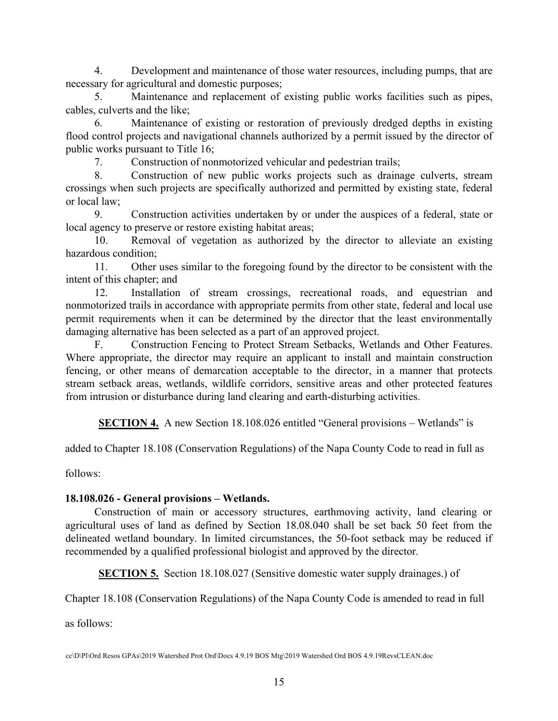4. Development and maintenance of those water resources, including pumps, that are necessary for agricultural and domestic purposes;

5. Maintenance and replacement of existing public works facilities such as pipes, cables, culverts and the like;

6. Maintenance of existing or restoration of previously dredged depths in existing flood control projects and navigational channels authorized by a permit issued by the director of public works pursuant to Title 16;

7. Construction of nonmotorized vehicular and pedestrian trails;

8. Construction of new public works projects such as drainage culverts, stream crossings when such projects are specifically authorized and permitted by existing state, federal or local law;

9. Construction activities undertaken by or under the auspices of a federal, state or local agency to preserve or restore existing habitat areas;

10. Removal of vegetation as authorized by the director to alleviate an existing hazardous condition;

11. Other uses similar to the foregoing found by the director to be consistent with the intent of this chapter; and

12. Installation of stream crossings, recreational roads, and equestrian and nonmotorized trails in accordance with appropriate permits from other state, federal and local use permit requirements when it can be determined by the director that the least environmentally damaging alternative has been selected as a part of an approved project.

F. Construction Fencing to Protect Stream Setbacks, Wetlands and Other Features. Where appropriate, the director may require an applicant to install and maintain construction fencing, or other means of demarcation acceptable to the director, in a manner that protects stream setback areas, wetlands, wildlife corridors, sensitive areas and other protected features from intrusion or disturbance during land clearing and earth-disturbing activities.

**SECTION 4.** A new Section 18.108.026 entitled "General provisions – Wetlands" is

added to Chapter 18.108 (Conservation Regulations) of the Napa County Code to read in full as

follows:

# **18.108.026 - General provisions – Wetlands.**

Construction of main or accessory structures, earthmoving activity, land clearing or agricultural uses of land as defined by Section 18.08.040 shall be set back 50 feet from the delineated wetland boundary. In limited circumstances, the 50-foot setback may be reduced if recommended by a qualified professional biologist and approved by the director.

**SECTION 5.** Section 18.108.027 (Sensitive domestic water supply drainages.) of

Chapter 18.108 (Conservation Regulations) of the Napa County Code is amended to read in full

as follows: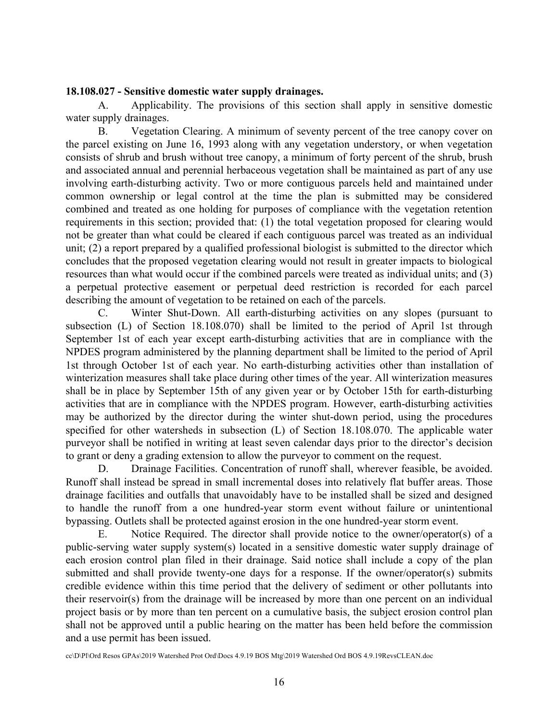#### **18.108.027 - Sensitive domestic water supply drainages.**

A. Applicability. The provisions of this section shall apply in sensitive domestic water supply drainages.

B. Vegetation Clearing. A minimum of seventy percent of the tree canopy cover on the parcel existing on June 16, 1993 along with any vegetation understory, or when vegetation consists of shrub and brush without tree canopy, a minimum of forty percent of the shrub, brush and associated annual and perennial herbaceous vegetation shall be maintained as part of any use involving earth-disturbing activity. Two or more contiguous parcels held and maintained under common ownership or legal control at the time the plan is submitted may be considered combined and treated as one holding for purposes of compliance with the vegetation retention requirements in this section; provided that: (1) the total vegetation proposed for clearing would not be greater than what could be cleared if each contiguous parcel was treated as an individual unit; (2) a report prepared by a qualified professional biologist is submitted to the director which concludes that the proposed vegetation clearing would not result in greater impacts to biological resources than what would occur if the combined parcels were treated as individual units; and (3) a perpetual protective easement or perpetual deed restriction is recorded for each parcel describing the amount of vegetation to be retained on each of the parcels.

C. Winter Shut-Down. All earth-disturbing activities on any slopes (pursuant to subsection (L) of Section 18.108.070) shall be limited to the period of April 1st through September 1st of each year except earth-disturbing activities that are in compliance with the NPDES program administered by the planning department shall be limited to the period of April 1st through October 1st of each year. No earth-disturbing activities other than installation of winterization measures shall take place during other times of the year. All winterization measures shall be in place by September 15th of any given year or by October 15th for earth-disturbing activities that are in compliance with the NPDES program. However, earth-disturbing activities may be authorized by the director during the winter shut-down period, using the procedures specified for other watersheds in subsection (L) of Section 18.108.070. The applicable water purveyor shall be notified in writing at least seven calendar days prior to the director's decision to grant or deny a grading extension to allow the purveyor to comment on the request.

D. Drainage Facilities. Concentration of runoff shall, wherever feasible, be avoided. Runoff shall instead be spread in small incremental doses into relatively flat buffer areas. Those drainage facilities and outfalls that unavoidably have to be installed shall be sized and designed to handle the runoff from a one hundred-year storm event without failure or unintentional bypassing. Outlets shall be protected against erosion in the one hundred-year storm event.

E. Notice Required. The director shall provide notice to the owner/operator(s) of a public-serving water supply system(s) located in a sensitive domestic water supply drainage of each erosion control plan filed in their drainage. Said notice shall include a copy of the plan submitted and shall provide twenty-one days for a response. If the owner/operator(s) submits credible evidence within this time period that the delivery of sediment or other pollutants into their reservoir(s) from the drainage will be increased by more than one percent on an individual project basis or by more than ten percent on a cumulative basis, the subject erosion control plan shall not be approved until a public hearing on the matter has been held before the commission and a use permit has been issued.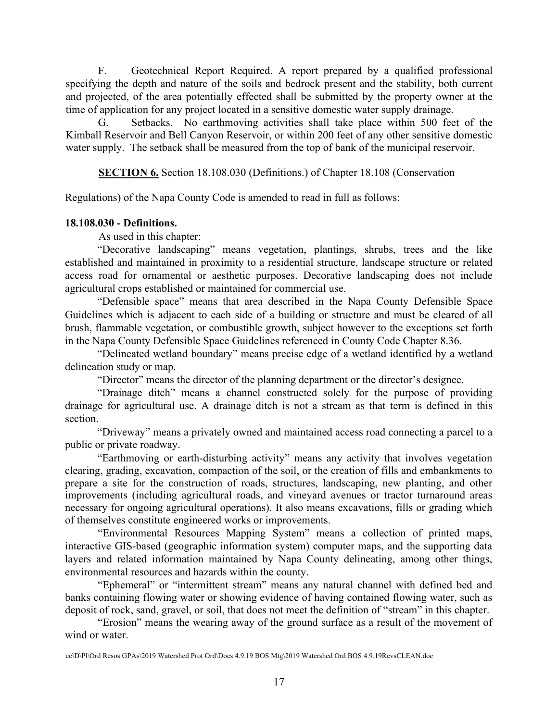F. Geotechnical Report Required. A report prepared by a qualified professional specifying the depth and nature of the soils and bedrock present and the stability, both current and projected, of the area potentially effected shall be submitted by the property owner at the time of application for any project located in a sensitive domestic water supply drainage.

G. Setbacks. No earthmoving activities shall take place within 500 feet of the Kimball Reservoir and Bell Canyon Reservoir, or within 200 feet of any other sensitive domestic water supply. The setback shall be measured from the top of bank of the municipal reservoir.

**SECTION 6.** Section 18.108.030 (Definitions.) of Chapter 18.108 (Conservation

Regulations) of the Napa County Code is amended to read in full as follows:

## **18.108.030 - Definitions.**

As used in this chapter:

"Decorative landscaping" means vegetation, plantings, shrubs, trees and the like established and maintained in proximity to a residential structure, landscape structure or related access road for ornamental or aesthetic purposes. Decorative landscaping does not include agricultural crops established or maintained for commercial use.

"Defensible space" means that area described in the Napa County Defensible Space Guidelines which is adjacent to each side of a building or structure and must be cleared of all brush, flammable vegetation, or combustible growth, subject however to the exceptions set forth in the Napa County Defensible Space Guidelines referenced in County Code Chapter 8.36.

"Delineated wetland boundary" means precise edge of a wetland identified by a wetland delineation study or map.

"Director" means the director of the planning department or the director's designee.

"Drainage ditch" means a channel constructed solely for the purpose of providing drainage for agricultural use. A drainage ditch is not a stream as that term is defined in this section.

"Driveway" means a privately owned and maintained access road connecting a parcel to a public or private roadway.

"Earthmoving or earth-disturbing activity" means any activity that involves vegetation clearing, grading, excavation, compaction of the soil, or the creation of fills and embankments to prepare a site for the construction of roads, structures, landscaping, new planting, and other improvements (including agricultural roads, and vineyard avenues or tractor turnaround areas necessary for ongoing agricultural operations). It also means excavations, fills or grading which of themselves constitute engineered works or improvements.

"Environmental Resources Mapping System" means a collection of printed maps, interactive GIS-based (geographic information system) computer maps, and the supporting data layers and related information maintained by Napa County delineating, among other things, environmental resources and hazards within the county.

"Ephemeral" or "intermittent stream" means any natural channel with defined bed and banks containing flowing water or showing evidence of having contained flowing water, such as deposit of rock, sand, gravel, or soil, that does not meet the definition of "stream" in this chapter.

"Erosion" means the wearing away of the ground surface as a result of the movement of wind or water.

cc\D\Pl\Ord Resos GPAs\2019 Watershed Prot Ord\Docs 4.9.19 BOS Mtg\2019 Watershed Ord BOS 4.9.19RevsCLEAN.doc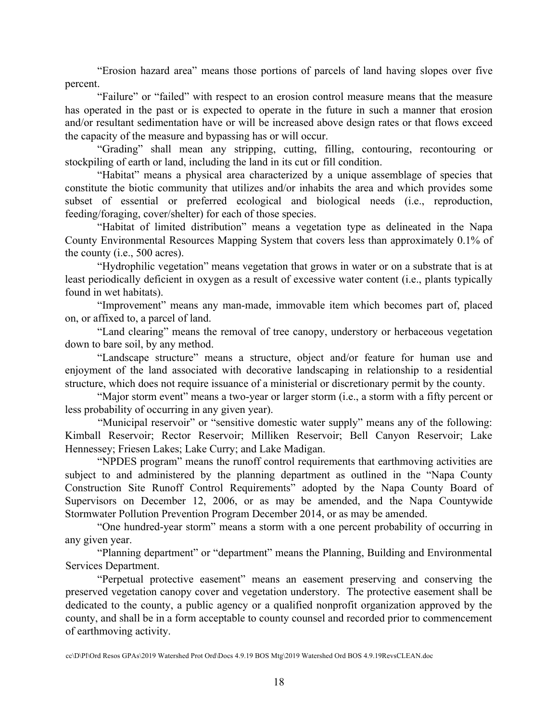"Erosion hazard area" means those portions of parcels of land having slopes over five percent.

"Failure" or "failed" with respect to an erosion control measure means that the measure has operated in the past or is expected to operate in the future in such a manner that erosion and/or resultant sedimentation have or will be increased above design rates or that flows exceed the capacity of the measure and bypassing has or will occur.

"Grading" shall mean any stripping, cutting, filling, contouring, recontouring or stockpiling of earth or land, including the land in its cut or fill condition.

"Habitat" means a physical area characterized by a unique assemblage of species that constitute the biotic community that utilizes and/or inhabits the area and which provides some subset of essential or preferred ecological and biological needs (i.e., reproduction, feeding/foraging, cover/shelter) for each of those species.

"Habitat of limited distribution" means a vegetation type as delineated in the Napa County Environmental Resources Mapping System that covers less than approximately 0.1% of the county (i.e., 500 acres).

"Hydrophilic vegetation" means vegetation that grows in water or on a substrate that is at least periodically deficient in oxygen as a result of excessive water content (i.e., plants typically found in wet habitats).

"Improvement" means any man-made, immovable item which becomes part of, placed on, or affixed to, a parcel of land.

"Land clearing" means the removal of tree canopy, understory or herbaceous vegetation down to bare soil, by any method.

"Landscape structure" means a structure, object and/or feature for human use and enjoyment of the land associated with decorative landscaping in relationship to a residential structure, which does not require issuance of a ministerial or discretionary permit by the county.

"Major storm event" means a two-year or larger storm (i.e., a storm with a fifty percent or less probability of occurring in any given year).

"Municipal reservoir" or "sensitive domestic water supply" means any of the following: Kimball Reservoir; Rector Reservoir; Milliken Reservoir; Bell Canyon Reservoir; Lake Hennessey; Friesen Lakes; Lake Curry; and Lake Madigan.

"NPDES program" means the runoff control requirements that earthmoving activities are subject to and administered by the planning department as outlined in the "Napa County Construction Site Runoff Control Requirements" adopted by the Napa County Board of Supervisors on December 12, 2006, or as may be amended, and the Napa Countywide Stormwater Pollution Prevention Program December 2014, or as may be amended.

"One hundred-year storm" means a storm with a one percent probability of occurring in any given year.

"Planning department" or "department" means the Planning, Building and Environmental Services Department.

"Perpetual protective easement" means an easement preserving and conserving the preserved vegetation canopy cover and vegetation understory. The protective easement shall be dedicated to the county, a public agency or a qualified nonprofit organization approved by the county, and shall be in a form acceptable to county counsel and recorded prior to commencement of earthmoving activity.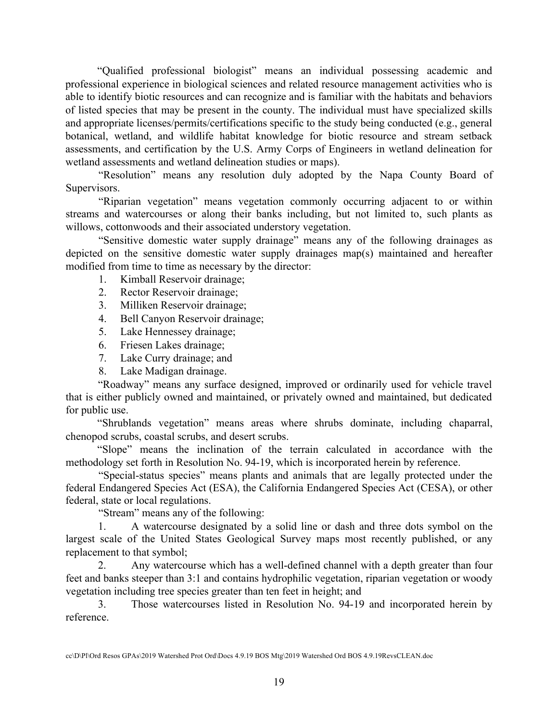"Qualified professional biologist" means an individual possessing academic and professional experience in biological sciences and related resource management activities who is able to identify biotic resources and can recognize and is familiar with the habitats and behaviors of listed species that may be present in the county. The individual must have specialized skills and appropriate licenses/permits/certifications specific to the study being conducted (e.g., general botanical, wetland, and wildlife habitat knowledge for biotic resource and stream setback assessments, and certification by the U.S. Army Corps of Engineers in wetland delineation for wetland assessments and wetland delineation studies or maps).

"Resolution" means any resolution duly adopted by the Napa County Board of Supervisors.

"Riparian vegetation" means vegetation commonly occurring adjacent to or within streams and watercourses or along their banks including, but not limited to, such plants as willows, cottonwoods and their associated understory vegetation.

"Sensitive domestic water supply drainage" means any of the following drainages as depicted on the sensitive domestic water supply drainages map(s) maintained and hereafter modified from time to time as necessary by the director:

- 1. Kimball Reservoir drainage;
- 2. Rector Reservoir drainage;
- 3. Milliken Reservoir drainage;
- 4. Bell Canyon Reservoir drainage;
- 5. Lake Hennessey drainage;
- 6. Friesen Lakes drainage;
- 7. Lake Curry drainage; and
- 8. Lake Madigan drainage.

"Roadway" means any surface designed, improved or ordinarily used for vehicle travel that is either publicly owned and maintained, or privately owned and maintained, but dedicated for public use.

"Shrublands vegetation" means areas where shrubs dominate, including chaparral, chenopod scrubs, coastal scrubs, and desert scrubs.

"Slope" means the inclination of the terrain calculated in accordance with the methodology set forth in Resolution No. 94-19, which is incorporated herein by reference.

"Special-status species" means plants and animals that are legally protected under the federal Endangered Species Act (ESA), the California Endangered Species Act (CESA), or other federal, state or local regulations.

"Stream" means any of the following:

1. A watercourse designated by a solid line or dash and three dots symbol on the largest scale of the United States Geological Survey maps most recently published, or any replacement to that symbol;

2. Any watercourse which has a well-defined channel with a depth greater than four feet and banks steeper than 3:1 and contains hydrophilic vegetation, riparian vegetation or woody vegetation including tree species greater than ten feet in height; and

3. Those watercourses listed in Resolution No. 94-19 and incorporated herein by reference.

cc\D\Pl\Ord Resos GPAs\2019 Watershed Prot Ord\Docs 4.9.19 BOS Mtg\2019 Watershed Ord BOS 4.9.19RevsCLEAN.doc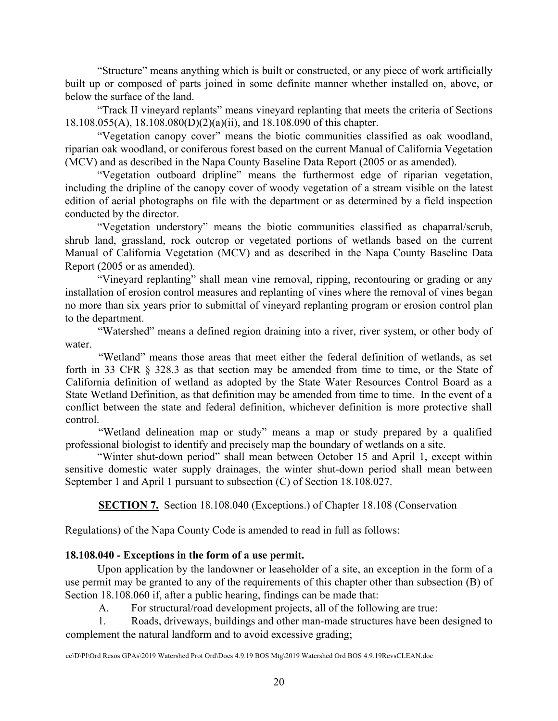"Structure" means anything which is built or constructed, or any piece of work artificially built up or composed of parts joined in some definite manner whether installed on, above, or below the surface of the land.

"Track II vineyard replants" means vineyard replanting that meets the criteria of Sections 18.108.055(A), 18.108.080(D)(2)(a)(ii), and 18.108.090 of this chapter.

"Vegetation canopy cover" means the biotic communities classified as oak woodland, riparian oak woodland, or coniferous forest based on the current Manual of California Vegetation (MCV) and as described in the Napa County Baseline Data Report (2005 or as amended).

"Vegetation outboard dripline" means the furthermost edge of riparian vegetation, including the dripline of the canopy cover of woody vegetation of a stream visible on the latest edition of aerial photographs on file with the department or as determined by a field inspection conducted by the director.

"Vegetation understory" means the biotic communities classified as chaparral/scrub, shrub land, grassland, rock outcrop or vegetated portions of wetlands based on the current Manual of California Vegetation (MCV) and as described in the Napa County Baseline Data Report (2005 or as amended).

"Vineyard replanting" shall mean vine removal, ripping, recontouring or grading or any installation of erosion control measures and replanting of vines where the removal of vines began no more than six years prior to submittal of vineyard replanting program or erosion control plan to the department.

"Watershed" means a defined region draining into a river, river system, or other body of water.

"Wetland" means those areas that meet either the federal definition of wetlands, as set forth in 33 CFR § 328.3 as that section may be amended from time to time, or the State of California definition of wetland as adopted by the State Water Resources Control Board as a State Wetland Definition, as that definition may be amended from time to time. In the event of a conflict between the state and federal definition, whichever definition is more protective shall control.

"Wetland delineation map or study" means a map or study prepared by a qualified professional biologist to identify and precisely map the boundary of wetlands on a site.

"Winter shut-down period" shall mean between October 15 and April 1, except within sensitive domestic water supply drainages, the winter shut-down period shall mean between September 1 and April 1 pursuant to subsection (C) of Section 18.108.027.

**SECTION 7.** Section 18.108.040 (Exceptions.) of Chapter 18.108 (Conservation

Regulations) of the Napa County Code is amended to read in full as follows:

## **18.108.040 - Exceptions in the form of a use permit.**

Upon application by the landowner or leaseholder of a site, an exception in the form of a use permit may be granted to any of the requirements of this chapter other than subsection (B) of Section 18.108.060 if, after a public hearing, findings can be made that:

A. For structural/road development projects, all of the following are true:

1. Roads, driveways, buildings and other man-made structures have been designed to complement the natural landform and to avoid excessive grading;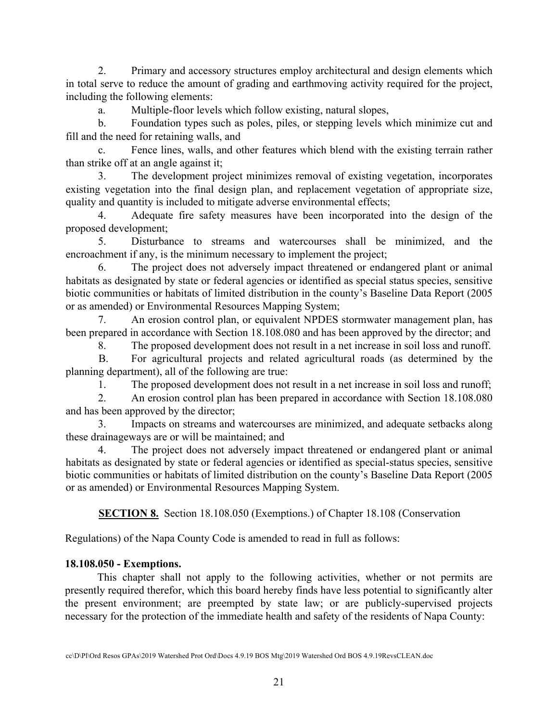2. Primary and accessory structures employ architectural and design elements which in total serve to reduce the amount of grading and earthmoving activity required for the project, including the following elements:

a. Multiple-floor levels which follow existing, natural slopes,

b. Foundation types such as poles, piles, or stepping levels which minimize cut and fill and the need for retaining walls, and

c. Fence lines, walls, and other features which blend with the existing terrain rather than strike off at an angle against it;

3. The development project minimizes removal of existing vegetation, incorporates existing vegetation into the final design plan, and replacement vegetation of appropriate size, quality and quantity is included to mitigate adverse environmental effects;

4. Adequate fire safety measures have been incorporated into the design of the proposed development;

5. Disturbance to streams and watercourses shall be minimized, and the encroachment if any, is the minimum necessary to implement the project;

6. The project does not adversely impact threatened or endangered plant or animal habitats as designated by state or federal agencies or identified as special status species, sensitive biotic communities or habitats of limited distribution in the county's Baseline Data Report (2005 or as amended) or Environmental Resources Mapping System;

7. An erosion control plan, or equivalent NPDES stormwater management plan, has been prepared in accordance with Section 18.108.080 and has been approved by the director; and

8. The proposed development does not result in a net increase in soil loss and runoff.

B. For agricultural projects and related agricultural roads (as determined by the planning department), all of the following are true:

1. The proposed development does not result in a net increase in soil loss and runoff;

2. An erosion control plan has been prepared in accordance with Section 18.108.080 and has been approved by the director;

3. Impacts on streams and watercourses are minimized, and adequate setbacks along these drainageways are or will be maintained; and

4. The project does not adversely impact threatened or endangered plant or animal habitats as designated by state or federal agencies or identified as special-status species, sensitive biotic communities or habitats of limited distribution on the county's Baseline Data Report (2005 or as amended) or Environmental Resources Mapping System.

**SECTION 8.** Section 18.108.050 (Exemptions.) of Chapter 18.108 (Conservation

Regulations) of the Napa County Code is amended to read in full as follows:

## **18.108.050 - Exemptions.**

This chapter shall not apply to the following activities, whether or not permits are presently required therefor, which this board hereby finds have less potential to significantly alter the present environment; are preempted by state law; or are publicly-supervised projects necessary for the protection of the immediate health and safety of the residents of Napa County: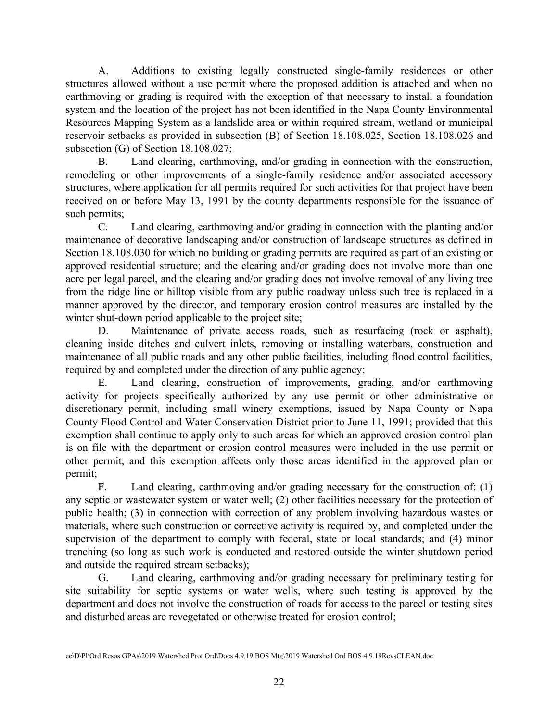A. Additions to existing legally constructed single-family residences or other structures allowed without a use permit where the proposed addition is attached and when no earthmoving or grading is required with the exception of that necessary to install a foundation system and the location of the project has not been identified in the Napa County Environmental Resources Mapping System as a landslide area or within required stream, wetland or municipal reservoir setbacks as provided in subsection (B) of Section 18.108.025, Section 18.108.026 and subsection (G) of Section 18.108.027;

B. Land clearing, earthmoving, and/or grading in connection with the construction, remodeling or other improvements of a single-family residence and/or associated accessory structures, where application for all permits required for such activities for that project have been received on or before May 13, 1991 by the county departments responsible for the issuance of such permits;

C. Land clearing, earthmoving and/or grading in connection with the planting and/or maintenance of decorative landscaping and/or construction of landscape structures as defined in Section 18.108.030 for which no building or grading permits are required as part of an existing or approved residential structure; and the clearing and/or grading does not involve more than one acre per legal parcel, and the clearing and/or grading does not involve removal of any living tree from the ridge line or hilltop visible from any public roadway unless such tree is replaced in a manner approved by the director, and temporary erosion control measures are installed by the winter shut-down period applicable to the project site;

D. Maintenance of private access roads, such as resurfacing (rock or asphalt), cleaning inside ditches and culvert inlets, removing or installing waterbars, construction and maintenance of all public roads and any other public facilities, including flood control facilities, required by and completed under the direction of any public agency;

E. Land clearing, construction of improvements, grading, and/or earthmoving activity for projects specifically authorized by any use permit or other administrative or discretionary permit, including small winery exemptions, issued by Napa County or Napa County Flood Control and Water Conservation District prior to June 11, 1991; provided that this exemption shall continue to apply only to such areas for which an approved erosion control plan is on file with the department or erosion control measures were included in the use permit or other permit, and this exemption affects only those areas identified in the approved plan or permit;

F. Land clearing, earthmoving and/or grading necessary for the construction of: (1) any septic or wastewater system or water well; (2) other facilities necessary for the protection of public health; (3) in connection with correction of any problem involving hazardous wastes or materials, where such construction or corrective activity is required by, and completed under the supervision of the department to comply with federal, state or local standards; and (4) minor trenching (so long as such work is conducted and restored outside the winter shutdown period and outside the required stream setbacks);

G. Land clearing, earthmoving and/or grading necessary for preliminary testing for site suitability for septic systems or water wells, where such testing is approved by the department and does not involve the construction of roads for access to the parcel or testing sites and disturbed areas are revegetated or otherwise treated for erosion control;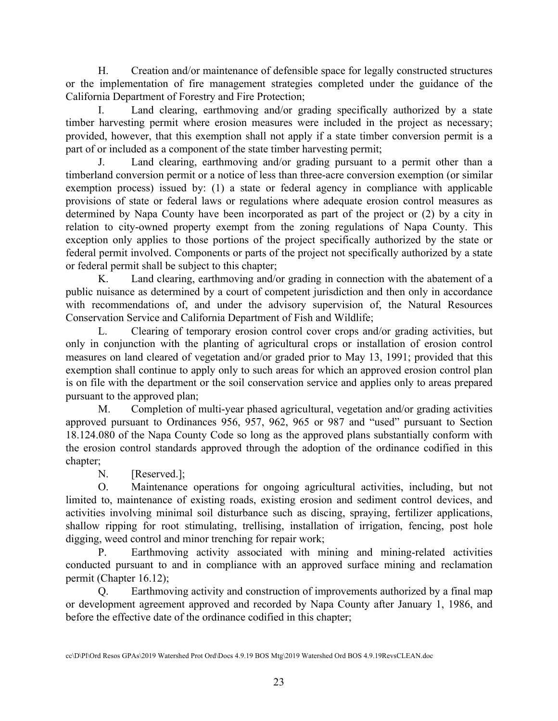H. Creation and/or maintenance of defensible space for legally constructed structures or the implementation of fire management strategies completed under the guidance of the California Department of Forestry and Fire Protection;

I. Land clearing, earthmoving and/or grading specifically authorized by a state timber harvesting permit where erosion measures were included in the project as necessary; provided, however, that this exemption shall not apply if a state timber conversion permit is a part of or included as a component of the state timber harvesting permit;

J. Land clearing, earthmoving and/or grading pursuant to a permit other than a timberland conversion permit or a notice of less than three-acre conversion exemption (or similar exemption process) issued by: (1) a state or federal agency in compliance with applicable provisions of state or federal laws or regulations where adequate erosion control measures as determined by Napa County have been incorporated as part of the project or (2) by a city in relation to city-owned property exempt from the zoning regulations of Napa County. This exception only applies to those portions of the project specifically authorized by the state or federal permit involved. Components or parts of the project not specifically authorized by a state or federal permit shall be subject to this chapter;

K. Land clearing, earthmoving and/or grading in connection with the abatement of a public nuisance as determined by a court of competent jurisdiction and then only in accordance with recommendations of, and under the advisory supervision of, the Natural Resources Conservation Service and California Department of Fish and Wildlife;

L. Clearing of temporary erosion control cover crops and/or grading activities, but only in conjunction with the planting of agricultural crops or installation of erosion control measures on land cleared of vegetation and/or graded prior to May 13, 1991; provided that this exemption shall continue to apply only to such areas for which an approved erosion control plan is on file with the department or the soil conservation service and applies only to areas prepared pursuant to the approved plan;

M. Completion of multi-year phased agricultural, vegetation and/or grading activities approved pursuant to Ordinances 956, 957, 962, 965 or 987 and "used" pursuant to Section 18.124.080 of the Napa County Code so long as the approved plans substantially conform with the erosion control standards approved through the adoption of the ordinance codified in this chapter;

N. [Reserved.];

O. Maintenance operations for ongoing agricultural activities, including, but not limited to, maintenance of existing roads, existing erosion and sediment control devices, and activities involving minimal soil disturbance such as discing, spraying, fertilizer applications, shallow ripping for root stimulating, trellising, installation of irrigation, fencing, post hole digging, weed control and minor trenching for repair work;

P. Earthmoving activity associated with mining and mining-related activities conducted pursuant to and in compliance with an approved surface mining and reclamation permit (Chapter 16.12);

Q. Earthmoving activity and construction of improvements authorized by a final map or development agreement approved and recorded by Napa County after January 1, 1986, and before the effective date of the ordinance codified in this chapter;

cc\D\Pl\Ord Resos GPAs\2019 Watershed Prot Ord\Docs 4.9.19 BOS Mtg\2019 Watershed Ord BOS 4.9.19RevsCLEAN.doc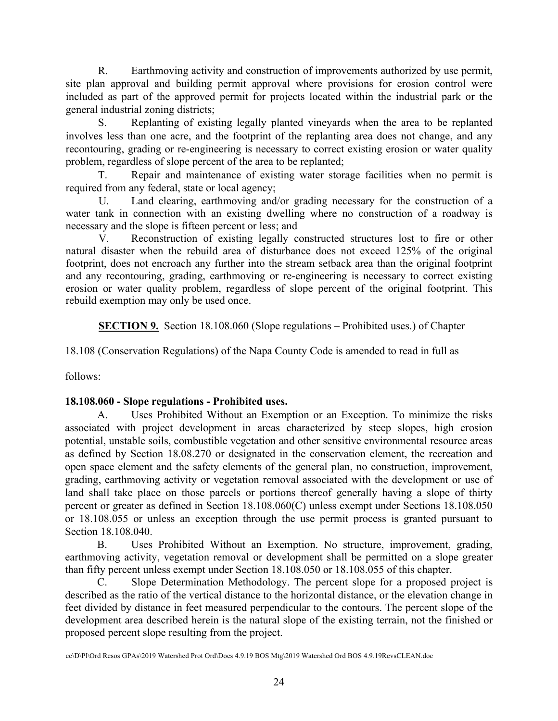R. Earthmoving activity and construction of improvements authorized by use permit, site plan approval and building permit approval where provisions for erosion control were included as part of the approved permit for projects located within the industrial park or the general industrial zoning districts;

S. Replanting of existing legally planted vineyards when the area to be replanted involves less than one acre, and the footprint of the replanting area does not change, and any recontouring, grading or re-engineering is necessary to correct existing erosion or water quality problem, regardless of slope percent of the area to be replanted;

T. Repair and maintenance of existing water storage facilities when no permit is required from any federal, state or local agency;

U. Land clearing, earthmoving and/or grading necessary for the construction of a water tank in connection with an existing dwelling where no construction of a roadway is necessary and the slope is fifteen percent or less; and

V. Reconstruction of existing legally constructed structures lost to fire or other natural disaster when the rebuild area of disturbance does not exceed 125% of the original footprint, does not encroach any further into the stream setback area than the original footprint and any recontouring, grading, earthmoving or re-engineering is necessary to correct existing erosion or water quality problem, regardless of slope percent of the original footprint. This rebuild exemption may only be used once.

**SECTION 9.** Section 18.108.060 (Slope regulations – Prohibited uses.) of Chapter

18.108 (Conservation Regulations) of the Napa County Code is amended to read in full as

follows:

## **18.108.060 - Slope regulations - Prohibited uses.**

A. Uses Prohibited Without an Exemption or an Exception. To minimize the risks associated with project development in areas characterized by steep slopes, high erosion potential, unstable soils, combustible vegetation and other sensitive environmental resource areas as defined by Section 18.08.270 or designated in the conservation element, the recreation and open space element and the safety elements of the general plan, no construction, improvement, grading, earthmoving activity or vegetation removal associated with the development or use of land shall take place on those parcels or portions thereof generally having a slope of thirty percent or greater as defined in Section 18.108.060(C) unless exempt under Sections 18.108.050 or 18.108.055 or unless an exception through the use permit process is granted pursuant to Section 18.108.040.

B. Uses Prohibited Without an Exemption. No structure, improvement, grading, earthmoving activity, vegetation removal or development shall be permitted on a slope greater than fifty percent unless exempt under Section 18.108.050 or 18.108.055 of this chapter.

C. Slope Determination Methodology. The percent slope for a proposed project is described as the ratio of the vertical distance to the horizontal distance, or the elevation change in feet divided by distance in feet measured perpendicular to the contours. The percent slope of the development area described herein is the natural slope of the existing terrain, not the finished or proposed percent slope resulting from the project.

cc\D\Pl\Ord Resos GPAs\2019 Watershed Prot Ord\Docs 4.9.19 BOS Mtg\2019 Watershed Ord BOS 4.9.19RevsCLEAN.doc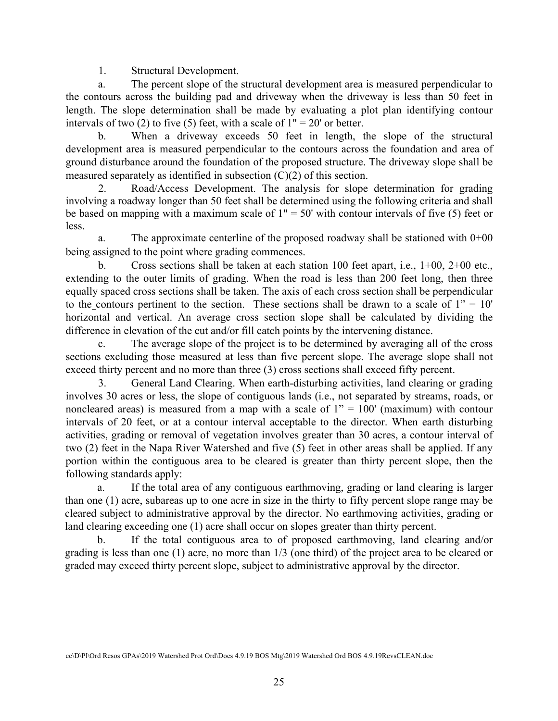1. Structural Development.

a. The percent slope of the structural development area is measured perpendicular to the contours across the building pad and driveway when the driveway is less than 50 feet in length. The slope determination shall be made by evaluating a plot plan identifying contour intervals of two (2) to five (5) feet, with a scale of  $1" = 20'$  or better.

b. When a driveway exceeds 50 feet in length, the slope of the structural development area is measured perpendicular to the contours across the foundation and area of ground disturbance around the foundation of the proposed structure. The driveway slope shall be measured separately as identified in subsection (C)(2) of this section.

2. Road/Access Development. The analysis for slope determination for grading involving a roadway longer than 50 feet shall be determined using the following criteria and shall be based on mapping with a maximum scale of  $1" = 50'$  with contour intervals of five (5) feet or less.

a. The approximate centerline of the proposed roadway shall be stationed with 0+00 being assigned to the point where grading commences.

b. Cross sections shall be taken at each station 100 feet apart, i.e., 1+00, 2+00 etc., extending to the outer limits of grading. When the road is less than 200 feet long, then three equally spaced cross sections shall be taken. The axis of each cross section shall be perpendicular to the contours pertinent to the section. These sections shall be drawn to a scale of  $1'' = 10'$ horizontal and vertical. An average cross section slope shall be calculated by dividing the difference in elevation of the cut and/or fill catch points by the intervening distance.

c. The average slope of the project is to be determined by averaging all of the cross sections excluding those measured at less than five percent slope. The average slope shall not exceed thirty percent and no more than three (3) cross sections shall exceed fifty percent.

3. General Land Clearing. When earth-disturbing activities, land clearing or grading involves 30 acres or less, the slope of contiguous lands (i.e., not separated by streams, roads, or noncleared areas) is measured from a map with a scale of  $1" = 100'$  (maximum) with contour intervals of 20 feet, or at a contour interval acceptable to the director. When earth disturbing activities, grading or removal of vegetation involves greater than 30 acres, a contour interval of two (2) feet in the Napa River Watershed and five (5) feet in other areas shall be applied. If any portion within the contiguous area to be cleared is greater than thirty percent slope, then the following standards apply:

a. If the total area of any contiguous earthmoving, grading or land clearing is larger than one (1) acre, subareas up to one acre in size in the thirty to fifty percent slope range may be cleared subject to administrative approval by the director. No earthmoving activities, grading or land clearing exceeding one (1) acre shall occur on slopes greater than thirty percent.

b. If the total contiguous area to of proposed earthmoving, land clearing and/or grading is less than one (1) acre, no more than 1/3 (one third) of the project area to be cleared or graded may exceed thirty percent slope, subject to administrative approval by the director.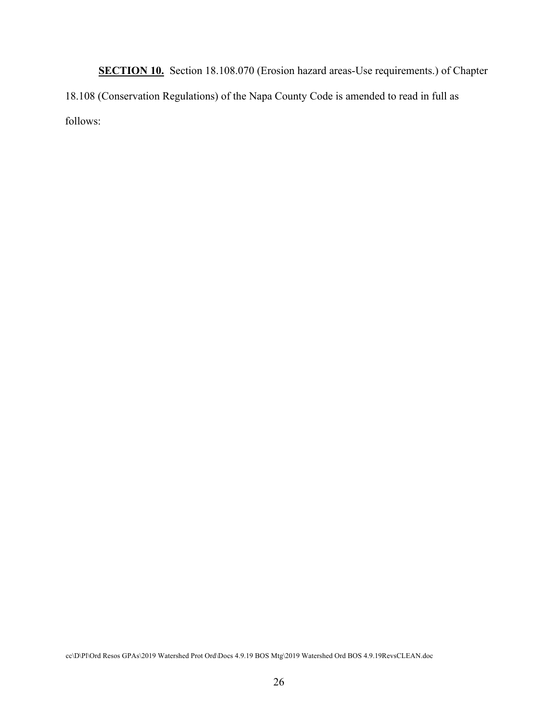**SECTION 10.** Section 18.108.070 (Erosion hazard areas-Use requirements.) of Chapter 18.108 (Conservation Regulations) of the Napa County Code is amended to read in full as follows: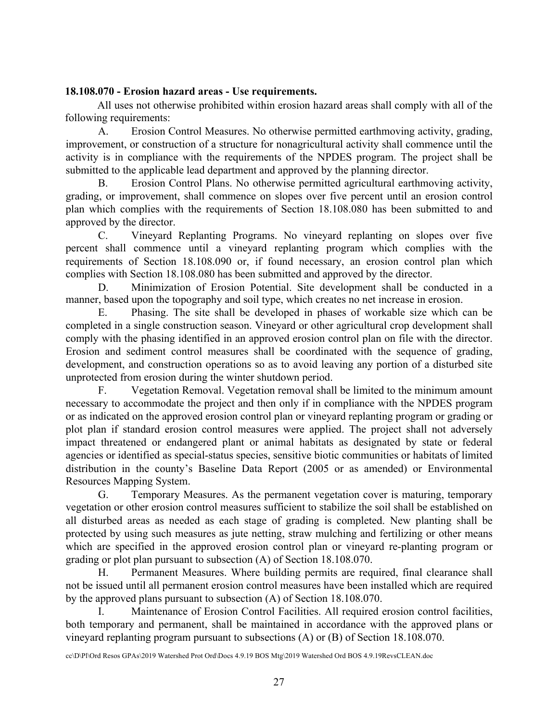#### **18.108.070 - Erosion hazard areas - Use requirements.**

All uses not otherwise prohibited within erosion hazard areas shall comply with all of the following requirements:

A. Erosion Control Measures. No otherwise permitted earthmoving activity, grading, improvement, or construction of a structure for nonagricultural activity shall commence until the activity is in compliance with the requirements of the NPDES program. The project shall be submitted to the applicable lead department and approved by the planning director.

B. Erosion Control Plans. No otherwise permitted agricultural earthmoving activity, grading, or improvement, shall commence on slopes over five percent until an erosion control plan which complies with the requirements of Section 18.108.080 has been submitted to and approved by the director.

C. Vineyard Replanting Programs. No vineyard replanting on slopes over five percent shall commence until a vineyard replanting program which complies with the requirements of Section 18.108.090 or, if found necessary, an erosion control plan which complies with Section 18.108.080 has been submitted and approved by the director.

D. Minimization of Erosion Potential. Site development shall be conducted in a manner, based upon the topography and soil type, which creates no net increase in erosion.

E. Phasing. The site shall be developed in phases of workable size which can be completed in a single construction season. Vineyard or other agricultural crop development shall comply with the phasing identified in an approved erosion control plan on file with the director. Erosion and sediment control measures shall be coordinated with the sequence of grading, development, and construction operations so as to avoid leaving any portion of a disturbed site unprotected from erosion during the winter shutdown period.

F. Vegetation Removal. Vegetation removal shall be limited to the minimum amount necessary to accommodate the project and then only if in compliance with the NPDES program or as indicated on the approved erosion control plan or vineyard replanting program or grading or plot plan if standard erosion control measures were applied. The project shall not adversely impact threatened or endangered plant or animal habitats as designated by state or federal agencies or identified as special-status species, sensitive biotic communities or habitats of limited distribution in the county's Baseline Data Report (2005 or as amended) or Environmental Resources Mapping System.

G. Temporary Measures. As the permanent vegetation cover is maturing, temporary vegetation or other erosion control measures sufficient to stabilize the soil shall be established on all disturbed areas as needed as each stage of grading is completed. New planting shall be protected by using such measures as jute netting, straw mulching and fertilizing or other means which are specified in the approved erosion control plan or vineyard re-planting program or grading or plot plan pursuant to subsection (A) of Section 18.108.070.

H. Permanent Measures. Where building permits are required, final clearance shall not be issued until all permanent erosion control measures have been installed which are required by the approved plans pursuant to subsection (A) of Section 18.108.070.

I. Maintenance of Erosion Control Facilities. All required erosion control facilities, both temporary and permanent, shall be maintained in accordance with the approved plans or vineyard replanting program pursuant to subsections (A) or (B) of Section 18.108.070.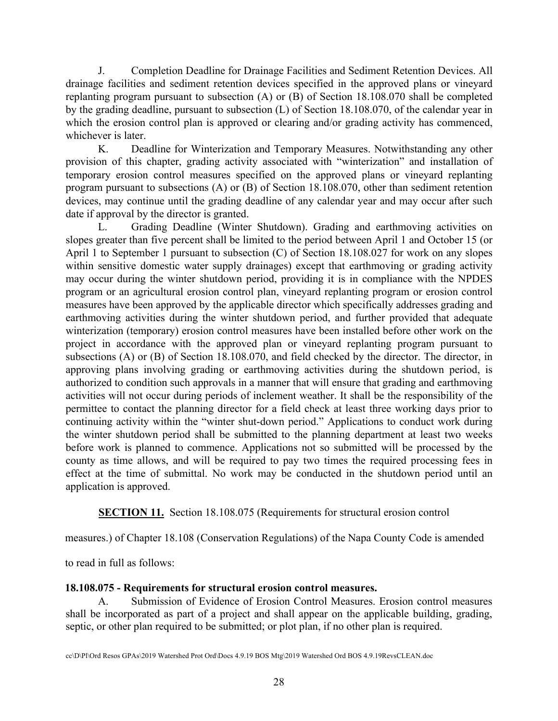J. Completion Deadline for Drainage Facilities and Sediment Retention Devices. All drainage facilities and sediment retention devices specified in the approved plans or vineyard replanting program pursuant to subsection (A) or (B) of Section 18.108.070 shall be completed by the grading deadline, pursuant to subsection (L) of Section 18.108.070, of the calendar year in which the erosion control plan is approved or clearing and/or grading activity has commenced, whichever is later.

K. Deadline for Winterization and Temporary Measures. Notwithstanding any other provision of this chapter, grading activity associated with "winterization" and installation of temporary erosion control measures specified on the approved plans or vineyard replanting program pursuant to subsections (A) or (B) of Section 18.108.070, other than sediment retention devices, may continue until the grading deadline of any calendar year and may occur after such date if approval by the director is granted.

L. Grading Deadline (Winter Shutdown). Grading and earthmoving activities on slopes greater than five percent shall be limited to the period between April 1 and October 15 (or April 1 to September 1 pursuant to subsection (C) of Section 18.108.027 for work on any slopes within sensitive domestic water supply drainages) except that earthmoving or grading activity may occur during the winter shutdown period, providing it is in compliance with the NPDES program or an agricultural erosion control plan, vineyard replanting program or erosion control measures have been approved by the applicable director which specifically addresses grading and earthmoving activities during the winter shutdown period, and further provided that adequate winterization (temporary) erosion control measures have been installed before other work on the project in accordance with the approved plan or vineyard replanting program pursuant to subsections (A) or (B) of Section 18.108.070, and field checked by the director. The director, in approving plans involving grading or earthmoving activities during the shutdown period, is authorized to condition such approvals in a manner that will ensure that grading and earthmoving activities will not occur during periods of inclement weather. It shall be the responsibility of the permittee to contact the planning director for a field check at least three working days prior to continuing activity within the "winter shut-down period." Applications to conduct work during the winter shutdown period shall be submitted to the planning department at least two weeks before work is planned to commence. Applications not so submitted will be processed by the county as time allows, and will be required to pay two times the required processing fees in effect at the time of submittal. No work may be conducted in the shutdown period until an application is approved.

**SECTION 11.** Section 18.108.075 (Requirements for structural erosion control

measures.) of Chapter 18.108 (Conservation Regulations) of the Napa County Code is amended

to read in full as follows:

# **18.108.075 - Requirements for structural erosion control measures.**

A. Submission of Evidence of Erosion Control Measures. Erosion control measures shall be incorporated as part of a project and shall appear on the applicable building, grading, septic, or other plan required to be submitted; or plot plan, if no other plan is required.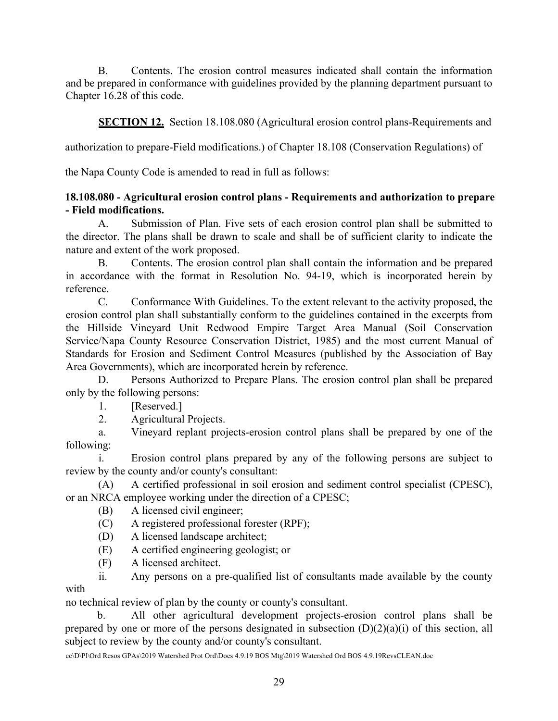B. Contents. The erosion control measures indicated shall contain the information and be prepared in conformance with guidelines provided by the planning department pursuant to Chapter 16.28 of this code.

**SECTION 12.** Section 18.108.080 (Agricultural erosion control plans-Requirements and

authorization to prepare-Field modifications.) of Chapter 18.108 (Conservation Regulations) of

the Napa County Code is amended to read in full as follows:

## **18.108.080 - Agricultural erosion control plans - Requirements and authorization to prepare - Field modifications.**

A. Submission of Plan. Five sets of each erosion control plan shall be submitted to the director. The plans shall be drawn to scale and shall be of sufficient clarity to indicate the nature and extent of the work proposed.

B. Contents. The erosion control plan shall contain the information and be prepared in accordance with the format in Resolution No. 94-19, which is incorporated herein by reference.

C. Conformance With Guidelines. To the extent relevant to the activity proposed, the erosion control plan shall substantially conform to the guidelines contained in the excerpts from the Hillside Vineyard Unit Redwood Empire Target Area Manual (Soil Conservation Service/Napa County Resource Conservation District, 1985) and the most current Manual of Standards for Erosion and Sediment Control Measures (published by the Association of Bay Area Governments), which are incorporated herein by reference.

D. Persons Authorized to Prepare Plans. The erosion control plan shall be prepared only by the following persons:

1. [Reserved.]

2. Agricultural Projects.

a. Vineyard replant projects-erosion control plans shall be prepared by one of the following:

i. Erosion control plans prepared by any of the following persons are subject to review by the county and/or county's consultant:

(A) A certified professional in soil erosion and sediment control specialist (CPESC), or an NRCA employee working under the direction of a CPESC;

(B) A licensed civil engineer;

(C) A registered professional forester (RPF);

(D) A licensed landscape architect;

(E) A certified engineering geologist; or

(F) A licensed architect.

ii. Any persons on a pre-qualified list of consultants made available by the county with

no technical review of plan by the county or county's consultant.

b. All other agricultural development projects-erosion control plans shall be prepared by one or more of the persons designated in subsection  $(D)(2)(a)(i)$  of this section, all subject to review by the county and/or county's consultant.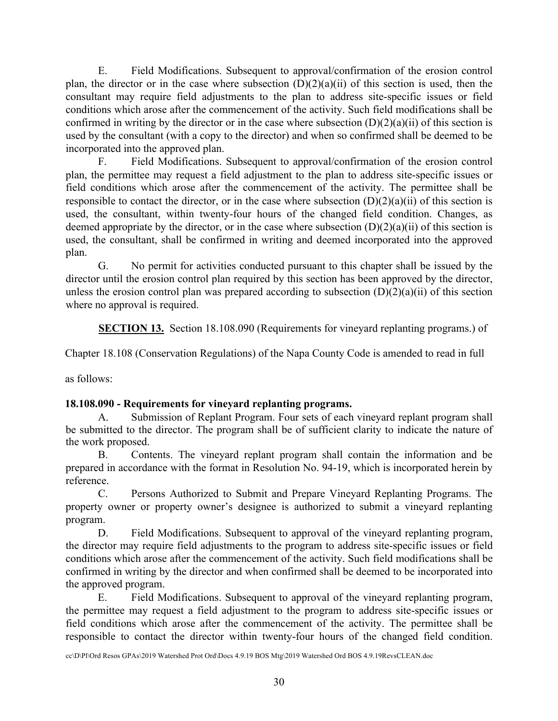E. Field Modifications. Subsequent to approval/confirmation of the erosion control plan, the director or in the case where subsection  $(D)(2)(a)(ii)$  of this section is used, then the consultant may require field adjustments to the plan to address site-specific issues or field conditions which arose after the commencement of the activity. Such field modifications shall be confirmed in writing by the director or in the case where subsection  $(D)(2)(a)(ii)$  of this section is used by the consultant (with a copy to the director) and when so confirmed shall be deemed to be incorporated into the approved plan.

F. Field Modifications. Subsequent to approval/confirmation of the erosion control plan, the permittee may request a field adjustment to the plan to address site-specific issues or field conditions which arose after the commencement of the activity. The permittee shall be responsible to contact the director, or in the case where subsection  $(D)(2)(a)(ii)$  of this section is used, the consultant, within twenty-four hours of the changed field condition. Changes, as deemed appropriate by the director, or in the case where subsection  $(D)(2)(a)(ii)$  of this section is used, the consultant, shall be confirmed in writing and deemed incorporated into the approved plan.

G. No permit for activities conducted pursuant to this chapter shall be issued by the director until the erosion control plan required by this section has been approved by the director, unless the erosion control plan was prepared according to subsection  $(D)(2)(a)(ii)$  of this section where no approval is required.

**SECTION 13.** Section 18.108.090 (Requirements for vineyard replanting programs.) of

Chapter 18.108 (Conservation Regulations) of the Napa County Code is amended to read in full

as follows:

# **18.108.090 - Requirements for vineyard replanting programs.**

A. Submission of Replant Program. Four sets of each vineyard replant program shall be submitted to the director. The program shall be of sufficient clarity to indicate the nature of the work proposed.

B. Contents. The vineyard replant program shall contain the information and be prepared in accordance with the format in Resolution No. 94-19, which is incorporated herein by reference.

C. Persons Authorized to Submit and Prepare Vineyard Replanting Programs. The property owner or property owner's designee is authorized to submit a vineyard replanting program.

D. Field Modifications. Subsequent to approval of the vineyard replanting program, the director may require field adjustments to the program to address site-specific issues or field conditions which arose after the commencement of the activity. Such field modifications shall be confirmed in writing by the director and when confirmed shall be deemed to be incorporated into the approved program.

E. Field Modifications. Subsequent to approval of the vineyard replanting program, the permittee may request a field adjustment to the program to address site-specific issues or field conditions which arose after the commencement of the activity. The permittee shall be responsible to contact the director within twenty-four hours of the changed field condition.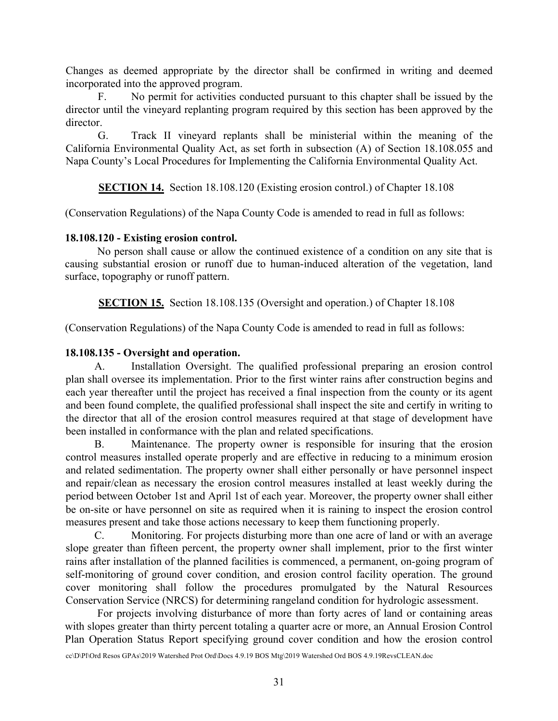Changes as deemed appropriate by the director shall be confirmed in writing and deemed incorporated into the approved program.

F. No permit for activities conducted pursuant to this chapter shall be issued by the director until the vineyard replanting program required by this section has been approved by the director.

G. Track II vineyard replants shall be ministerial within the meaning of the California Environmental Quality Act, as set forth in subsection (A) of Section 18.108.055 and Napa County's Local Procedures for Implementing the California Environmental Quality Act.

**SECTION 14.** Section 18.108.120 (Existing erosion control.) of Chapter 18.108

(Conservation Regulations) of the Napa County Code is amended to read in full as follows:

## **18.108.120 - Existing erosion control.**

No person shall cause or allow the continued existence of a condition on any site that is causing substantial erosion or runoff due to human-induced alteration of the vegetation, land surface, topography or runoff pattern.

**SECTION 15.** Section 18.108.135 (Oversight and operation.) of Chapter 18.108

(Conservation Regulations) of the Napa County Code is amended to read in full as follows:

# **18.108.135 - Oversight and operation.**

A. Installation Oversight. The qualified professional preparing an erosion control plan shall oversee its implementation. Prior to the first winter rains after construction begins and each year thereafter until the project has received a final inspection from the county or its agent and been found complete, the qualified professional shall inspect the site and certify in writing to the director that all of the erosion control measures required at that stage of development have been installed in conformance with the plan and related specifications.

B. Maintenance. The property owner is responsible for insuring that the erosion control measures installed operate properly and are effective in reducing to a minimum erosion and related sedimentation. The property owner shall either personally or have personnel inspect and repair/clean as necessary the erosion control measures installed at least weekly during the period between October 1st and April 1st of each year. Moreover, the property owner shall either be on-site or have personnel on site as required when it is raining to inspect the erosion control measures present and take those actions necessary to keep them functioning properly.

C. Monitoring. For projects disturbing more than one acre of land or with an average slope greater than fifteen percent, the property owner shall implement, prior to the first winter rains after installation of the planned facilities is commenced, a permanent, on-going program of self-monitoring of ground cover condition, and erosion control facility operation. The ground cover monitoring shall follow the procedures promulgated by the Natural Resources Conservation Service (NRCS) for determining rangeland condition for hydrologic assessment.

For projects involving disturbance of more than forty acres of land or containing areas with slopes greater than thirty percent totaling a quarter acre or more, an Annual Erosion Control Plan Operation Status Report specifying ground cover condition and how the erosion control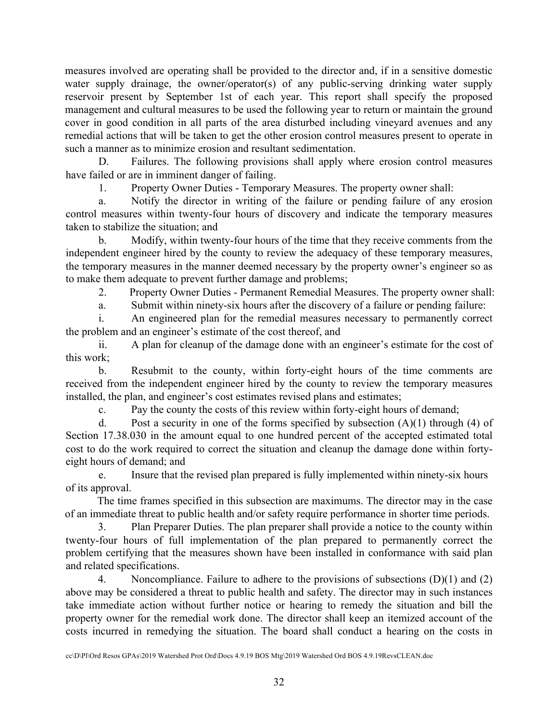measures involved are operating shall be provided to the director and, if in a sensitive domestic water supply drainage, the owner/operator(s) of any public-serving drinking water supply reservoir present by September 1st of each year. This report shall specify the proposed management and cultural measures to be used the following year to return or maintain the ground cover in good condition in all parts of the area disturbed including vineyard avenues and any remedial actions that will be taken to get the other erosion control measures present to operate in such a manner as to minimize erosion and resultant sedimentation.

D. Failures. The following provisions shall apply where erosion control measures have failed or are in imminent danger of failing.

1. Property Owner Duties - Temporary Measures. The property owner shall:

a. Notify the director in writing of the failure or pending failure of any erosion control measures within twenty-four hours of discovery and indicate the temporary measures taken to stabilize the situation; and

b. Modify, within twenty-four hours of the time that they receive comments from the independent engineer hired by the county to review the adequacy of these temporary measures, the temporary measures in the manner deemed necessary by the property owner's engineer so as to make them adequate to prevent further damage and problems;

2. Property Owner Duties - Permanent Remedial Measures. The property owner shall:

a. Submit within ninety-six hours after the discovery of a failure or pending failure:

i. An engineered plan for the remedial measures necessary to permanently correct the problem and an engineer's estimate of the cost thereof, and

ii. A plan for cleanup of the damage done with an engineer's estimate for the cost of this work;

b. Resubmit to the county, within forty-eight hours of the time comments are received from the independent engineer hired by the county to review the temporary measures installed, the plan, and engineer's cost estimates revised plans and estimates;

c. Pay the county the costs of this review within forty-eight hours of demand;

d. Post a security in one of the forms specified by subsection  $(A)(1)$  through  $(4)$  of Section 17.38.030 in the amount equal to one hundred percent of the accepted estimated total cost to do the work required to correct the situation and cleanup the damage done within fortyeight hours of demand; and

e. Insure that the revised plan prepared is fully implemented within ninety-six hours of its approval.

The time frames specified in this subsection are maximums. The director may in the case of an immediate threat to public health and/or safety require performance in shorter time periods.

3. Plan Preparer Duties. The plan preparer shall provide a notice to the county within twenty-four hours of full implementation of the plan prepared to permanently correct the problem certifying that the measures shown have been installed in conformance with said plan and related specifications.

4. Noncompliance. Failure to adhere to the provisions of subsections (D)(1) and (2) above may be considered a threat to public health and safety. The director may in such instances take immediate action without further notice or hearing to remedy the situation and bill the property owner for the remedial work done. The director shall keep an itemized account of the costs incurred in remedying the situation. The board shall conduct a hearing on the costs in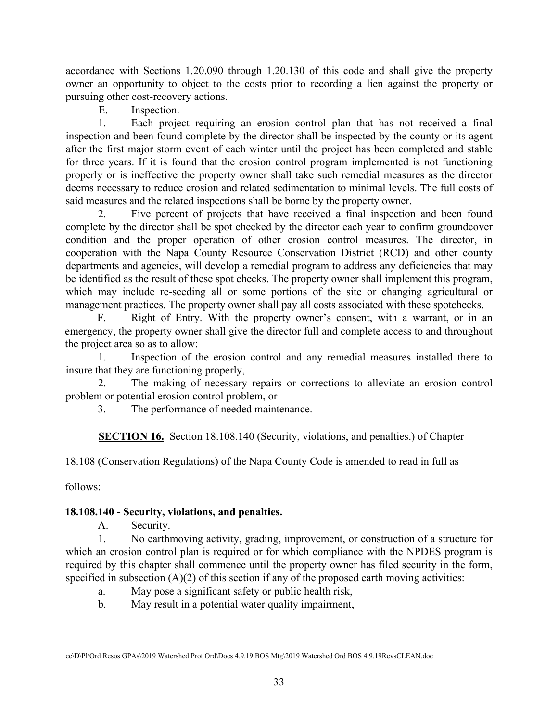accordance with Sections 1.20.090 through 1.20.130 of this code and shall give the property owner an opportunity to object to the costs prior to recording a lien against the property or pursuing other cost-recovery actions.

E. Inspection.

1. Each project requiring an erosion control plan that has not received a final inspection and been found complete by the director shall be inspected by the county or its agent after the first major storm event of each winter until the project has been completed and stable for three years. If it is found that the erosion control program implemented is not functioning properly or is ineffective the property owner shall take such remedial measures as the director deems necessary to reduce erosion and related sedimentation to minimal levels. The full costs of said measures and the related inspections shall be borne by the property owner.

2. Five percent of projects that have received a final inspection and been found complete by the director shall be spot checked by the director each year to confirm groundcover condition and the proper operation of other erosion control measures. The director, in cooperation with the Napa County Resource Conservation District (RCD) and other county departments and agencies, will develop a remedial program to address any deficiencies that may be identified as the result of these spot checks. The property owner shall implement this program, which may include re-seeding all or some portions of the site or changing agricultural or management practices. The property owner shall pay all costs associated with these spotchecks.

F. Right of Entry. With the property owner's consent, with a warrant, or in an emergency, the property owner shall give the director full and complete access to and throughout the project area so as to allow:

1. Inspection of the erosion control and any remedial measures installed there to insure that they are functioning properly,

2. The making of necessary repairs or corrections to alleviate an erosion control problem or potential erosion control problem, or

3. The performance of needed maintenance.

**SECTION 16.** Section 18.108.140 (Security, violations, and penalties.) of Chapter

18.108 (Conservation Regulations) of the Napa County Code is amended to read in full as

follows:

# **18.108.140 - Security, violations, and penalties.**

A. Security.

1. No earthmoving activity, grading, improvement, or construction of a structure for which an erosion control plan is required or for which compliance with the NPDES program is required by this chapter shall commence until the property owner has filed security in the form, specified in subsection  $(A)(2)$  of this section if any of the proposed earth moving activities:

a. May pose a significant safety or public health risk,

b. May result in a potential water quality impairment,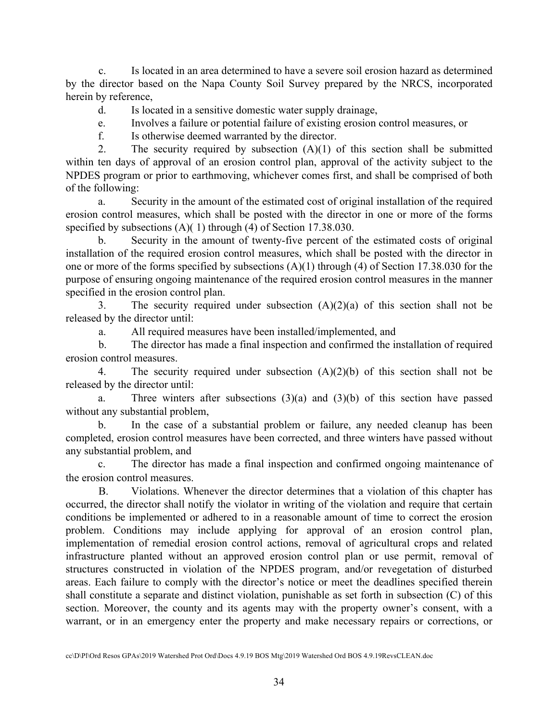c. Is located in an area determined to have a severe soil erosion hazard as determined by the director based on the Napa County Soil Survey prepared by the NRCS, incorporated herein by reference,

d. Is located in a sensitive domestic water supply drainage,

e. Involves a failure or potential failure of existing erosion control measures, or

f. Is otherwise deemed warranted by the director.

2. The security required by subsection  $(A)(1)$  of this section shall be submitted within ten days of approval of an erosion control plan, approval of the activity subject to the NPDES program or prior to earthmoving, whichever comes first, and shall be comprised of both of the following:

a. Security in the amount of the estimated cost of original installation of the required erosion control measures, which shall be posted with the director in one or more of the forms specified by subsections (A)( 1) through (4) of Section 17.38.030.

b. Security in the amount of twenty-five percent of the estimated costs of original installation of the required erosion control measures, which shall be posted with the director in one or more of the forms specified by subsections (A)(1) through (4) of Section 17.38.030 for the purpose of ensuring ongoing maintenance of the required erosion control measures in the manner specified in the erosion control plan.

3. The security required under subsection  $(A)(2)(a)$  of this section shall not be released by the director until:

a. All required measures have been installed/implemented, and

b. The director has made a final inspection and confirmed the installation of required erosion control measures.

4. The security required under subsection (A)(2)(b) of this section shall not be released by the director until:

a. Three winters after subsections  $(3)(a)$  and  $(3)(b)$  of this section have passed without any substantial problem,

b. In the case of a substantial problem or failure, any needed cleanup has been completed, erosion control measures have been corrected, and three winters have passed without any substantial problem, and

c. The director has made a final inspection and confirmed ongoing maintenance of the erosion control measures.

B. Violations. Whenever the director determines that a violation of this chapter has occurred, the director shall notify the violator in writing of the violation and require that certain conditions be implemented or adhered to in a reasonable amount of time to correct the erosion problem. Conditions may include applying for approval of an erosion control plan, implementation of remedial erosion control actions, removal of agricultural crops and related infrastructure planted without an approved erosion control plan or use permit, removal of structures constructed in violation of the NPDES program, and/or revegetation of disturbed areas. Each failure to comply with the director's notice or meet the deadlines specified therein shall constitute a separate and distinct violation, punishable as set forth in subsection (C) of this section. Moreover, the county and its agents may with the property owner's consent, with a warrant, or in an emergency enter the property and make necessary repairs or corrections, or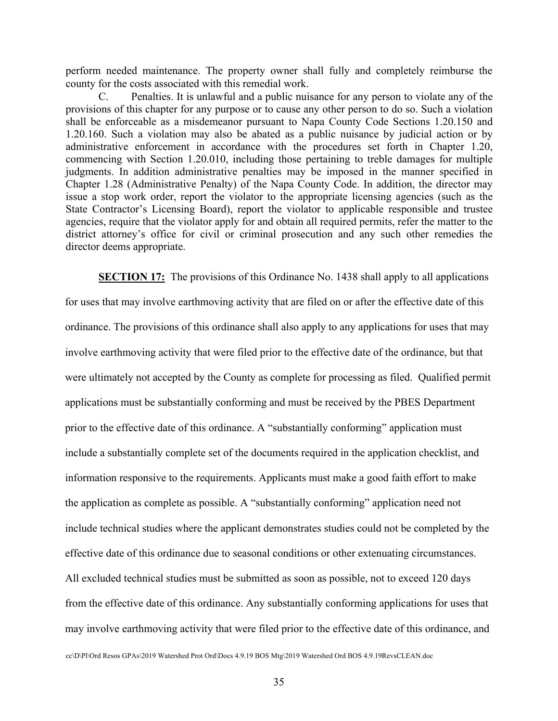perform needed maintenance. The property owner shall fully and completely reimburse the county for the costs associated with this remedial work.

C. Penalties. It is unlawful and a public nuisance for any person to violate any of the provisions of this chapter for any purpose or to cause any other person to do so. Such a violation shall be enforceable as a misdemeanor pursuant to Napa County Code Sections 1.20.150 and 1.20.160. Such a violation may also be abated as a public nuisance by judicial action or by administrative enforcement in accordance with the procedures set forth in Chapter 1.20, commencing with Section 1.20.010, including those pertaining to treble damages for multiple judgments. In addition administrative penalties may be imposed in the manner specified in Chapter 1.28 (Administrative Penalty) of the Napa County Code. In addition, the director may issue a stop work order, report the violator to the appropriate licensing agencies (such as the State Contractor's Licensing Board), report the violator to applicable responsible and trustee agencies, require that the violator apply for and obtain all required permits, refer the matter to the district attorney's office for civil or criminal prosecution and any such other remedies the director deems appropriate.

**SECTION 17:** The provisions of this Ordinance No. 1438 shall apply to all applications for uses that may involve earthmoving activity that are filed on or after the effective date of this ordinance. The provisions of this ordinance shall also apply to any applications for uses that may involve earthmoving activity that were filed prior to the effective date of the ordinance, but that were ultimately not accepted by the County as complete for processing as filed. Qualified permit applications must be substantially conforming and must be received by the PBES Department prior to the effective date of this ordinance. A "substantially conforming" application must include a substantially complete set of the documents required in the application checklist, and information responsive to the requirements. Applicants must make a good faith effort to make the application as complete as possible. A "substantially conforming" application need not include technical studies where the applicant demonstrates studies could not be completed by the effective date of this ordinance due to seasonal conditions or other extenuating circumstances. All excluded technical studies must be submitted as soon as possible, not to exceed 120 days from the effective date of this ordinance. Any substantially conforming applications for uses that may involve earthmoving activity that were filed prior to the effective date of this ordinance, and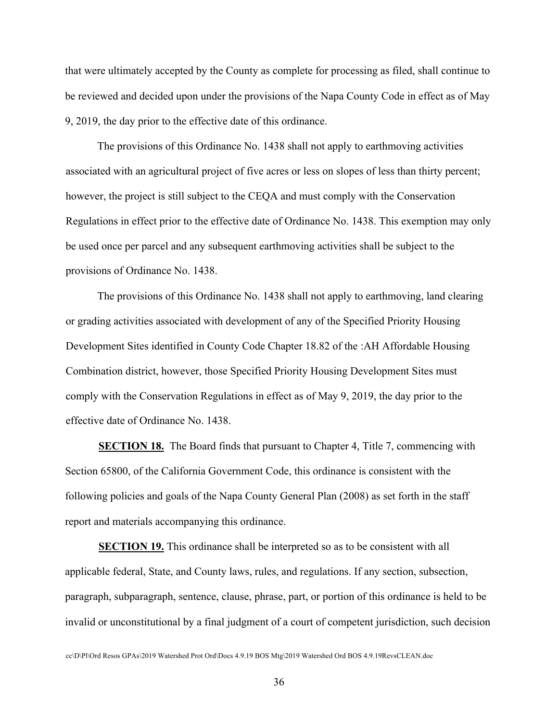that were ultimately accepted by the County as complete for processing as filed, shall continue to be reviewed and decided upon under the provisions of the Napa County Code in effect as of May 9, 2019, the day prior to the effective date of this ordinance.

The provisions of this Ordinance No. 1438 shall not apply to earthmoving activities associated with an agricultural project of five acres or less on slopes of less than thirty percent; however, the project is still subject to the CEQA and must comply with the Conservation Regulations in effect prior to the effective date of Ordinance No. 1438. This exemption may only be used once per parcel and any subsequent earthmoving activities shall be subject to the provisions of Ordinance No. 1438.

The provisions of this Ordinance No. 1438 shall not apply to earthmoving, land clearing or grading activities associated with development of any of the Specified Priority Housing Development Sites identified in County Code Chapter 18.82 of the :AH Affordable Housing Combination district, however, those Specified Priority Housing Development Sites must comply with the Conservation Regulations in effect as of May 9, 2019, the day prior to the effective date of Ordinance No. 1438.

**SECTION 18.** The Board finds that pursuant to Chapter 4, Title 7, commencing with Section 65800, of the California Government Code, this ordinance is consistent with the following policies and goals of the Napa County General Plan (2008) as set forth in the staff report and materials accompanying this ordinance.

**SECTION 19.** This ordinance shall be interpreted so as to be consistent with all applicable federal, State, and County laws, rules, and regulations. If any section, subsection, paragraph, subparagraph, sentence, clause, phrase, part, or portion of this ordinance is held to be invalid or unconstitutional by a final judgment of a court of competent jurisdiction, such decision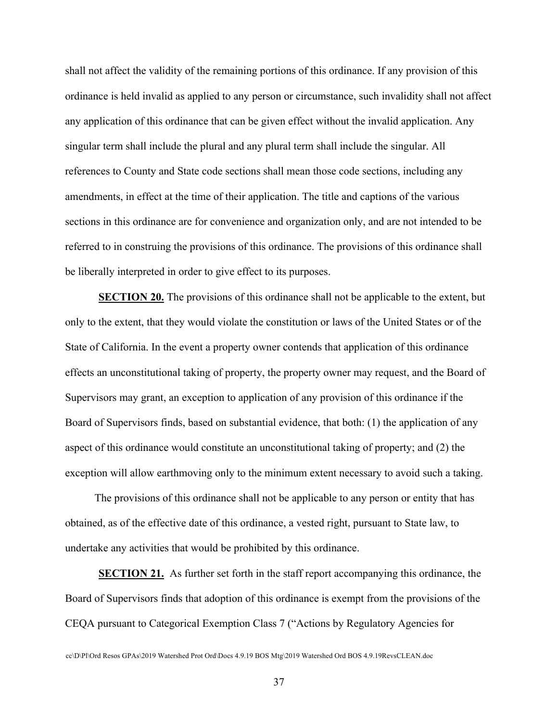shall not affect the validity of the remaining portions of this ordinance. If any provision of this ordinance is held invalid as applied to any person or circumstance, such invalidity shall not affect any application of this ordinance that can be given effect without the invalid application. Any singular term shall include the plural and any plural term shall include the singular. All references to County and State code sections shall mean those code sections, including any amendments, in effect at the time of their application. The title and captions of the various sections in this ordinance are for convenience and organization only, and are not intended to be referred to in construing the provisions of this ordinance. The provisions of this ordinance shall be liberally interpreted in order to give effect to its purposes.

**SECTION 20.** The provisions of this ordinance shall not be applicable to the extent, but only to the extent, that they would violate the constitution or laws of the United States or of the State of California. In the event a property owner contends that application of this ordinance effects an unconstitutional taking of property, the property owner may request, and the Board of Supervisors may grant, an exception to application of any provision of this ordinance if the Board of Supervisors finds, based on substantial evidence, that both: (1) the application of any aspect of this ordinance would constitute an unconstitutional taking of property; and (2) the exception will allow earthmoving only to the minimum extent necessary to avoid such a taking.

The provisions of this ordinance shall not be applicable to any person or entity that has obtained, as of the effective date of this ordinance, a vested right, pursuant to State law, to undertake any activities that would be prohibited by this ordinance.

**SECTION 21.** As further set forth in the staff report accompanying this ordinance, the Board of Supervisors finds that adoption of this ordinance is exempt from the provisions of the CEQA pursuant to Categorical Exemption Class 7 ("Actions by Regulatory Agencies for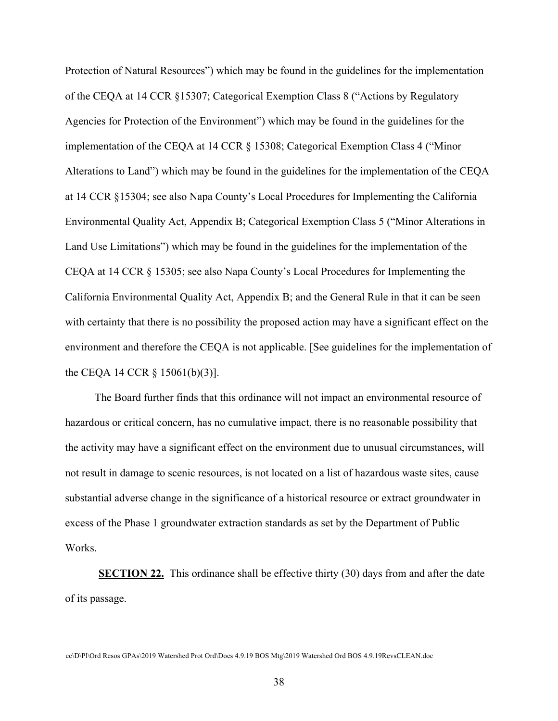Protection of Natural Resources") which may be found in the guidelines for the implementation of the CEQA at 14 CCR §15307; Categorical Exemption Class 8 ("Actions by Regulatory Agencies for Protection of the Environment") which may be found in the guidelines for the implementation of the CEQA at 14 CCR § 15308; Categorical Exemption Class 4 ("Minor Alterations to Land") which may be found in the guidelines for the implementation of the CEQA at 14 CCR §15304; see also Napa County's Local Procedures for Implementing the California Environmental Quality Act, Appendix B; Categorical Exemption Class 5 ("Minor Alterations in Land Use Limitations") which may be found in the guidelines for the implementation of the CEQA at 14 CCR § 15305; see also Napa County's Local Procedures for Implementing the California Environmental Quality Act, Appendix B; and the General Rule in that it can be seen with certainty that there is no possibility the proposed action may have a significant effect on the environment and therefore the CEQA is not applicable. [See guidelines for the implementation of the CEQA 14 CCR § 15061(b)(3)].

The Board further finds that this ordinance will not impact an environmental resource of hazardous or critical concern, has no cumulative impact, there is no reasonable possibility that the activity may have a significant effect on the environment due to unusual circumstances, will not result in damage to scenic resources, is not located on a list of hazardous waste sites, cause substantial adverse change in the significance of a historical resource or extract groundwater in excess of the Phase 1 groundwater extraction standards as set by the Department of Public Works.

**SECTION 22.** This ordinance shall be effective thirty (30) days from and after the date of its passage.

cc\D\Pl\Ord Resos GPAs\2019 Watershed Prot Ord\Docs 4.9.19 BOS Mtg\2019 Watershed Ord BOS 4.9.19RevsCLEAN.doc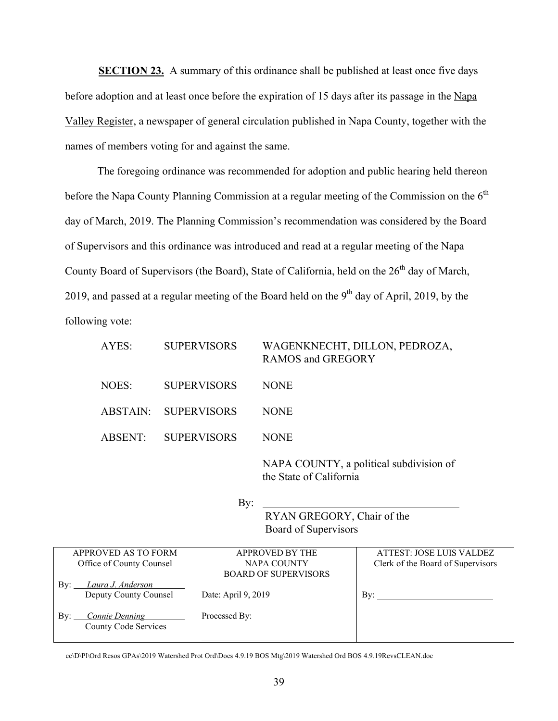**SECTION 23.** A summary of this ordinance shall be published at least once five days before adoption and at least once before the expiration of 15 days after its passage in the Napa Valley Register, a newspaper of general circulation published in Napa County, together with the names of members voting for and against the same.

The foregoing ordinance was recommended for adoption and public hearing held thereon before the Napa County Planning Commission at a regular meeting of the Commission on the  $6<sup>th</sup>$ day of March, 2019. The Planning Commission's recommendation was considered by the Board of Supervisors and this ordinance was introduced and read at a regular meeting of the Napa County Board of Supervisors (the Board), State of California, held on the 26<sup>th</sup> day of March, 2019, and passed at a regular meeting of the Board held on the  $9<sup>th</sup>$  day of April, 2019, by the following vote:

| AYES:   | <b>SUPERVISORS</b>   | WAGENKNECHT, DILLON, PEDROZA,<br><b>RAMOS and GREGORY</b> |
|---------|----------------------|-----------------------------------------------------------|
| NOES:   | <b>SUPERVISORS</b>   | <b>NONE</b>                                               |
|         | ABSTAIN: SUPERVISORS | <b>NONE</b>                                               |
| ABSENT: | <b>SUPERVISORS</b>   | <b>NONE</b>                                               |
|         |                      | NAPA COUNTY, a political subdivision of                   |

the State of California

RYAN GREGORY, Chair of the Board of Supervisors

| APPROVED AS TO FORM          | <b>APPROVED BY THE</b>      | ATTEST: JOSE LUIS VALDEZ          |
|------------------------------|-----------------------------|-----------------------------------|
| Office of County Counsel     | NAPA COUNTY                 | Clerk of the Board of Supervisors |
|                              | <b>BOARD OF SUPERVISORS</b> |                                   |
| Laura J. Anderson<br>By:     |                             |                                   |
| Deputy County Counsel        | Date: April 9, 2019         | Bv:                               |
|                              |                             |                                   |
| <b>Connie Denning</b><br>By: | Processed By:               |                                   |
| <b>County Code Services</b>  |                             |                                   |
|                              |                             |                                   |

cc\D\Pl\Ord Resos GPAs\2019 Watershed Prot Ord\Docs 4.9.19 BOS Mtg\2019 Watershed Ord BOS 4.9.19RevsCLEAN.doc

By: